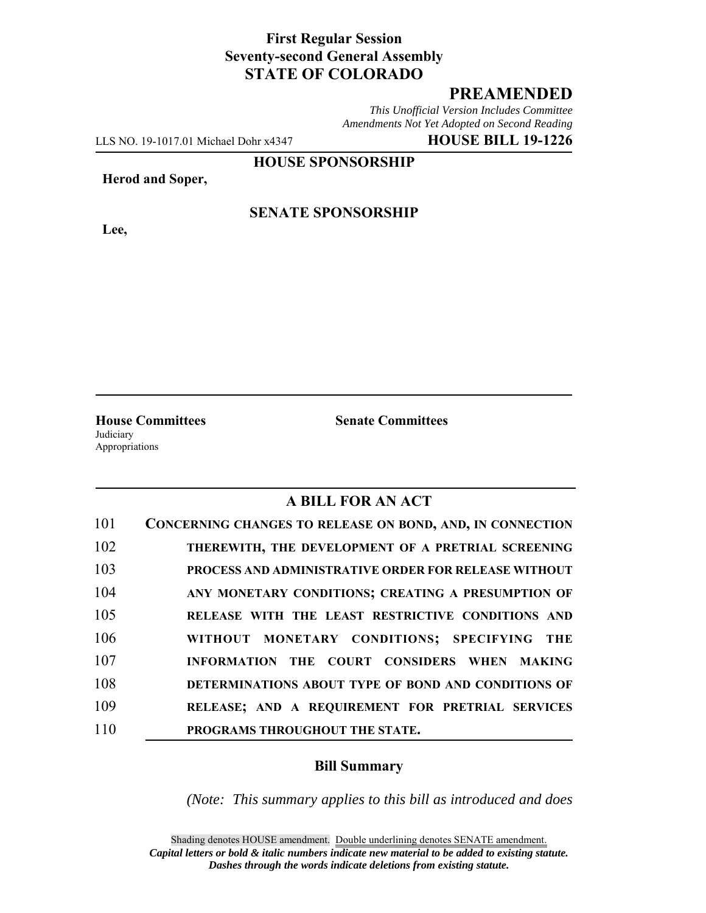### **First Regular Session Seventy-second General Assembly STATE OF COLORADO**

# **PREAMENDED**

*This Unofficial Version Includes Committee Amendments Not Yet Adopted on Second Reading*

LLS NO. 19-1017.01 Michael Dohr x4347 **HOUSE BILL 19-1226**

**HOUSE SPONSORSHIP**

#### **Herod and Soper,**

**Lee,**

# **SENATE SPONSORSHIP**

**Judiciary** Appropriations

**House Committees Senate Committees**

#### **A BILL FOR AN ACT**

| 101 | CONCERNING CHANGES TO RELEASE ON BOND, AND, IN CONNECTION   |
|-----|-------------------------------------------------------------|
| 102 | THEREWITH, THE DEVELOPMENT OF A PRETRIAL SCREENING          |
| 103 | <b>PROCESS AND ADMINISTRATIVE ORDER FOR RELEASE WITHOUT</b> |
| 104 | ANY MONETARY CONDITIONS; CREATING A PRESUMPTION OF          |
| 105 | RELEASE WITH THE LEAST RESTRICTIVE CONDITIONS AND           |
| 106 | WITHOUT MONETARY CONDITIONS; SPECIFYING THE                 |
| 107 | INFORMATION THE COURT CONSIDERS WHEN MAKING                 |
| 108 | DETERMINATIONS ABOUT TYPE OF BOND AND CONDITIONS OF         |
| 109 | RELEASE; AND A REQUIREMENT FOR PRETRIAL SERVICES            |
| 110 | PROGRAMS THROUGHOUT THE STATE.                              |

#### **Bill Summary**

*(Note: This summary applies to this bill as introduced and does*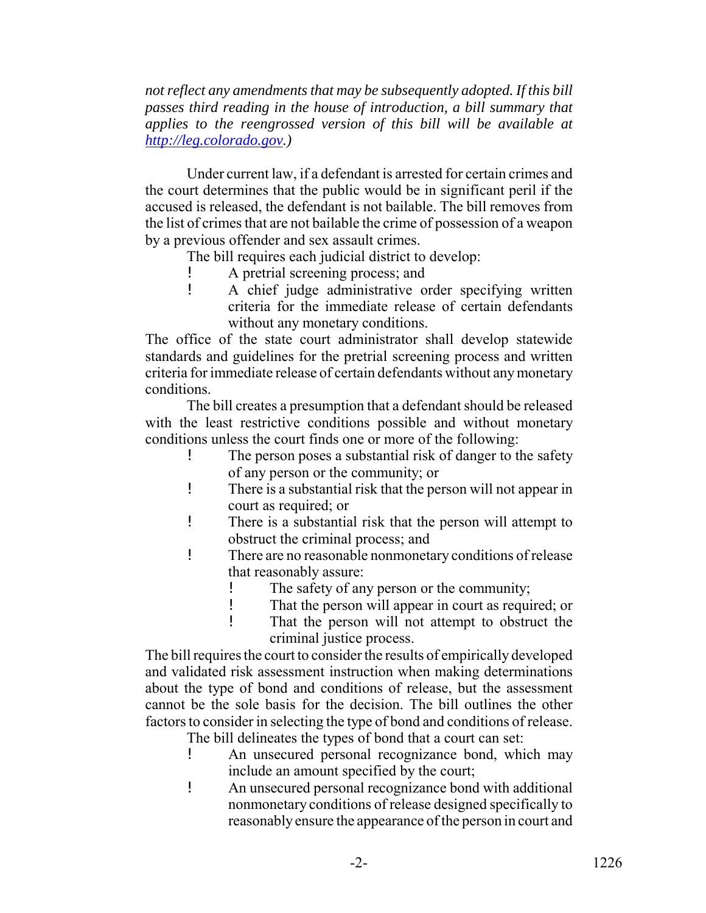*not reflect any amendments that may be subsequently adopted. If this bill passes third reading in the house of introduction, a bill summary that applies to the reengrossed version of this bill will be available at http://leg.colorado.gov.)*

Under current law, if a defendant is arrested for certain crimes and the court determines that the public would be in significant peril if the accused is released, the defendant is not bailable. The bill removes from the list of crimes that are not bailable the crime of possession of a weapon by a previous offender and sex assault crimes.

The bill requires each judicial district to develop:

- A pretrial screening process; and
- ! A chief judge administrative order specifying written criteria for the immediate release of certain defendants without any monetary conditions.

The office of the state court administrator shall develop statewide standards and guidelines for the pretrial screening process and written criteria for immediate release of certain defendants without any monetary conditions.

The bill creates a presumption that a defendant should be released with the least restrictive conditions possible and without monetary conditions unless the court finds one or more of the following:

- The person poses a substantial risk of danger to the safety of any person or the community; or
- ! There is a substantial risk that the person will not appear in court as required; or
- ! There is a substantial risk that the person will attempt to obstruct the criminal process; and
- ! There are no reasonable nonmonetary conditions of release that reasonably assure:
	- ! The safety of any person or the community;
	- ! That the person will appear in court as required; or
	- ! That the person will not attempt to obstruct the criminal justice process.

The bill requires the court to consider the results of empirically developed and validated risk assessment instruction when making determinations about the type of bond and conditions of release, but the assessment cannot be the sole basis for the decision. The bill outlines the other factors to consider in selecting the type of bond and conditions of release.

- The bill delineates the types of bond that a court can set:
- ! An unsecured personal recognizance bond, which may include an amount specified by the court;
- ! An unsecured personal recognizance bond with additional nonmonetary conditions of release designed specifically to reasonably ensure the appearance of the person in court and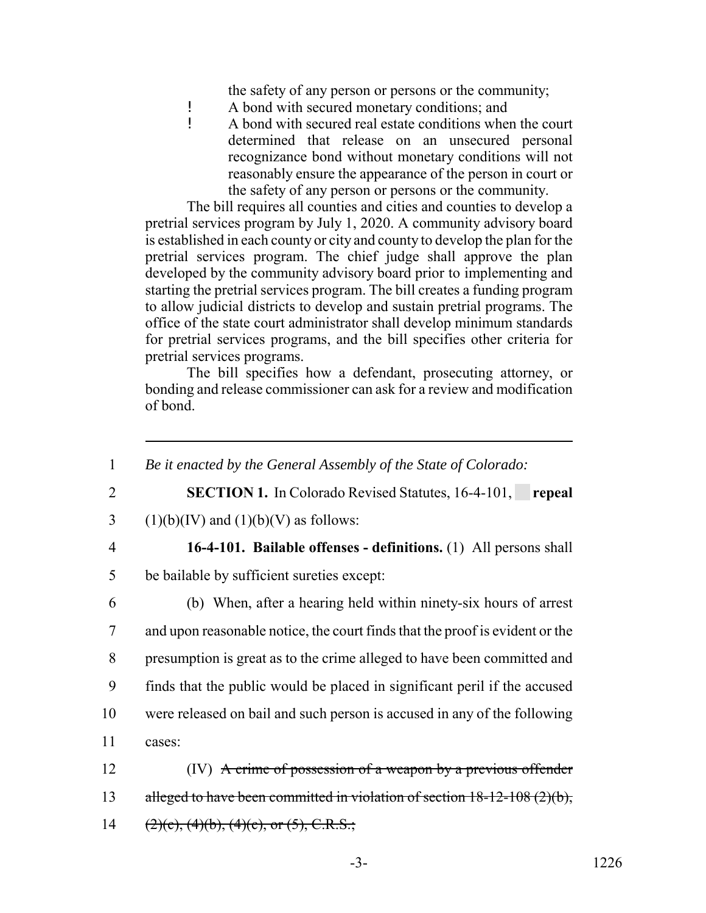the safety of any person or persons or the community;

- ! A bond with secured monetary conditions; and<br>
A bond with secured real estate conditions when
- ! A bond with secured real estate conditions when the court determined that release on an unsecured personal recognizance bond without monetary conditions will not reasonably ensure the appearance of the person in court or the safety of any person or persons or the community.

The bill requires all counties and cities and counties to develop a pretrial services program by July 1, 2020. A community advisory board is established in each county or city and county to develop the plan for the pretrial services program. The chief judge shall approve the plan developed by the community advisory board prior to implementing and starting the pretrial services program. The bill creates a funding program to allow judicial districts to develop and sustain pretrial programs. The office of the state court administrator shall develop minimum standards for pretrial services programs, and the bill specifies other criteria for pretrial services programs.

The bill specifies how a defendant, prosecuting attorney, or bonding and release commissioner can ask for a review and modification of bond.

 *Be it enacted by the General Assembly of the State of Colorado:* **SECTION 1.** In Colorado Revised Statutes, 16-4-101, **repeal** 3 (1)(b)(IV) and (1)(b)(V) as follows: **16-4-101. Bailable offenses - definitions.** (1) All persons shall be bailable by sufficient sureties except: (b) When, after a hearing held within ninety-six hours of arrest and upon reasonable notice, the court finds that the proof is evident or the presumption is great as to the crime alleged to have been committed and finds that the public would be placed in significant peril if the accused were released on bail and such person is accused in any of the following 11 cases: (IV) A crime of possession of a weapon by a previous offender 13 alleged to have been committed in violation of section 18-12-108 (2)(b),  $(2)(e)$ ,  $(4)(b)$ ,  $(4)(e)$ , or  $(5)$ , C.R.S.;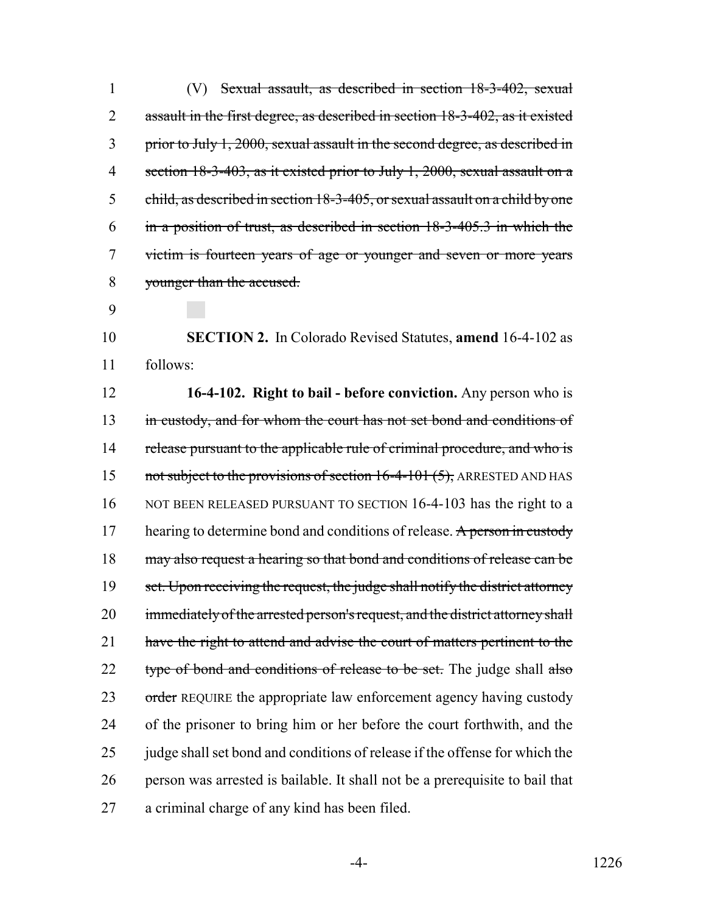(V) Sexual assault, as described in section 18-3-402, sexual 2 assault in the first degree, as described in section 18-3-402, as it existed prior to July 1, 2000, sexual assault in the second degree, as described in section 18-3-403, as it existed prior to July 1, 2000, sexual assault on a child, as described in section 18-3-405, or sexual assault on a child by one in a position of trust, as described in section 18-3-405.3 in which the victim is fourteen years of age or younger and seven or more years younger than the accused.

9

10 **SECTION 2.** In Colorado Revised Statutes, **amend** 16-4-102 as 11 follows:

12 **16-4-102. Right to bail - before conviction.** Any person who is 13 in custody, and for whom the court has not set bond and conditions of 14 release pursuant to the applicable rule of criminal procedure, and who is 15 not subject to the provisions of section 16-4-101 (5), ARRESTED AND HAS 16 NOT BEEN RELEASED PURSUANT TO SECTION 16-4-103 has the right to a 17 hearing to determine bond and conditions of release. A person in custody 18 may also request a hearing so that bond and conditions of release can be 19 set. Upon receiving the request, the judge shall notify the district attorney 20 immediately of the arrested person's request, and the district attorney shall 21 have the right to attend and advise the court of matters pertinent to the 22 type of bond and conditions of release to be set. The judge shall also 23 order REQUIRE the appropriate law enforcement agency having custody 24 of the prisoner to bring him or her before the court forthwith, and the 25 judge shall set bond and conditions of release if the offense for which the 26 person was arrested is bailable. It shall not be a prerequisite to bail that 27 a criminal charge of any kind has been filed.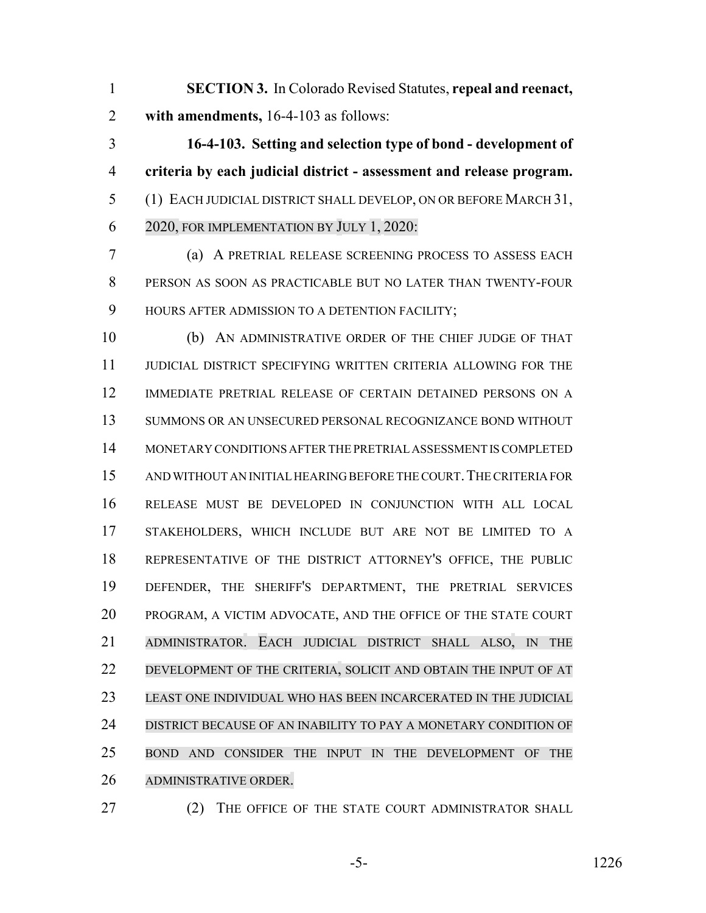**SECTION 3.** In Colorado Revised Statutes, **repeal and reenact, with amendments,** 16-4-103 as follows:

 **16-4-103. Setting and selection type of bond - development of criteria by each judicial district - assessment and release program.** (1) EACH JUDICIAL DISTRICT SHALL DEVELOP, ON OR BEFORE MARCH 31, 2020, FOR IMPLEMENTATION BY JULY 1, 2020:

 (a) A PRETRIAL RELEASE SCREENING PROCESS TO ASSESS EACH PERSON AS SOON AS PRACTICABLE BUT NO LATER THAN TWENTY-FOUR 9 HOURS AFTER ADMISSION TO A DETENTION FACILITY;

 (b) AN ADMINISTRATIVE ORDER OF THE CHIEF JUDGE OF THAT JUDICIAL DISTRICT SPECIFYING WRITTEN CRITERIA ALLOWING FOR THE IMMEDIATE PRETRIAL RELEASE OF CERTAIN DETAINED PERSONS ON A SUMMONS OR AN UNSECURED PERSONAL RECOGNIZANCE BOND WITHOUT MONETARY CONDITIONS AFTER THE PRETRIAL ASSESSMENT IS COMPLETED 15 AND WITHOUT AN INITIAL HEARING BEFORE THE COURT. THE CRITERIA FOR RELEASE MUST BE DEVELOPED IN CONJUNCTION WITH ALL LOCAL STAKEHOLDERS, WHICH INCLUDE BUT ARE NOT BE LIMITED TO A REPRESENTATIVE OF THE DISTRICT ATTORNEY'S OFFICE, THE PUBLIC DEFENDER, THE SHERIFF'S DEPARTMENT, THE PRETRIAL SERVICES PROGRAM, A VICTIM ADVOCATE, AND THE OFFICE OF THE STATE COURT ADMINISTRATOR. EACH JUDICIAL DISTRICT SHALL ALSO, IN THE DEVELOPMENT OF THE CRITERIA, SOLICIT AND OBTAIN THE INPUT OF AT LEAST ONE INDIVIDUAL WHO HAS BEEN INCARCERATED IN THE JUDICIAL DISTRICT BECAUSE OF AN INABILITY TO PAY A MONETARY CONDITION OF BOND AND CONSIDER THE INPUT IN THE DEVELOPMENT OF THE ADMINISTRATIVE ORDER.

27 (2) THE OFFICE OF THE STATE COURT ADMINISTRATOR SHALL

-5- 1226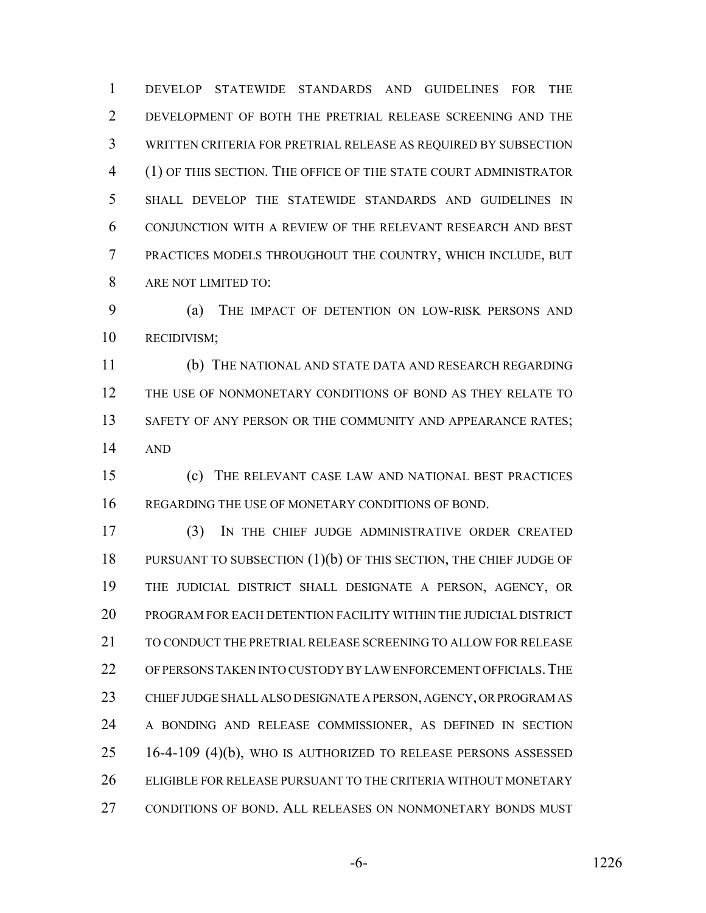DEVELOP STATEWIDE STANDARDS AND GUIDELINES FOR THE DEVELOPMENT OF BOTH THE PRETRIAL RELEASE SCREENING AND THE WRITTEN CRITERIA FOR PRETRIAL RELEASE AS REQUIRED BY SUBSECTION (1) OF THIS SECTION. THE OFFICE OF THE STATE COURT ADMINISTRATOR SHALL DEVELOP THE STATEWIDE STANDARDS AND GUIDELINES IN CONJUNCTION WITH A REVIEW OF THE RELEVANT RESEARCH AND BEST PRACTICES MODELS THROUGHOUT THE COUNTRY, WHICH INCLUDE, BUT ARE NOT LIMITED TO:

 (a) THE IMPACT OF DETENTION ON LOW-RISK PERSONS AND RECIDIVISM;

 (b) THE NATIONAL AND STATE DATA AND RESEARCH REGARDING THE USE OF NONMONETARY CONDITIONS OF BOND AS THEY RELATE TO 13 SAFETY OF ANY PERSON OR THE COMMUNITY AND APPEARANCE RATES; AND

 (c) THE RELEVANT CASE LAW AND NATIONAL BEST PRACTICES REGARDING THE USE OF MONETARY CONDITIONS OF BOND.

 (3) IN THE CHIEF JUDGE ADMINISTRATIVE ORDER CREATED 18 PURSUANT TO SUBSECTION (1)(b) OF THIS SECTION, THE CHIEF JUDGE OF THE JUDICIAL DISTRICT SHALL DESIGNATE A PERSON, AGENCY, OR PROGRAM FOR EACH DETENTION FACILITY WITHIN THE JUDICIAL DISTRICT TO CONDUCT THE PRETRIAL RELEASE SCREENING TO ALLOW FOR RELEASE OF PERSONS TAKEN INTO CUSTODY BY LAW ENFORCEMENT OFFICIALS.THE CHIEF JUDGE SHALL ALSO DESIGNATE A PERSON, AGENCY, OR PROGRAM AS A BONDING AND RELEASE COMMISSIONER, AS DEFINED IN SECTION 16-4-109 (4)(b), WHO IS AUTHORIZED TO RELEASE PERSONS ASSESSED ELIGIBLE FOR RELEASE PURSUANT TO THE CRITERIA WITHOUT MONETARY CONDITIONS OF BOND. ALL RELEASES ON NONMONETARY BONDS MUST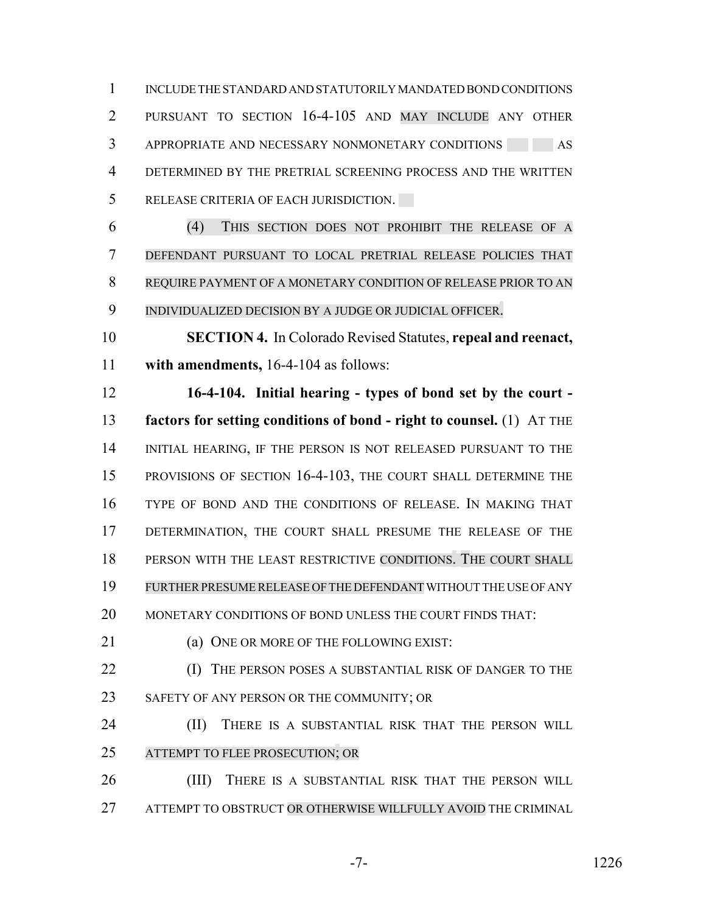INCLUDE THE STANDARD AND STATUTORILY MANDATED BOND CONDITIONS PURSUANT TO SECTION 16-4-105 AND MAY INCLUDE ANY OTHER 3 APPROPRIATE AND NECESSARY NONMONETARY CONDITIONS AS DETERMINED BY THE PRETRIAL SCREENING PROCESS AND THE WRITTEN RELEASE CRITERIA OF EACH JURISDICTION.

 (4) THIS SECTION DOES NOT PROHIBIT THE RELEASE OF A DEFENDANT PURSUANT TO LOCAL PRETRIAL RELEASE POLICIES THAT REQUIRE PAYMENT OF A MONETARY CONDITION OF RELEASE PRIOR TO AN INDIVIDUALIZED DECISION BY A JUDGE OR JUDICIAL OFFICER.

 **SECTION 4.** In Colorado Revised Statutes, **repeal and reenact, with amendments,** 16-4-104 as follows:

 **16-4-104. Initial hearing - types of bond set by the court - factors for setting conditions of bond - right to counsel.** (1) AT THE 14 INITIAL HEARING, IF THE PERSON IS NOT RELEASED PURSUANT TO THE PROVISIONS OF SECTION 16-4-103, THE COURT SHALL DETERMINE THE TYPE OF BOND AND THE CONDITIONS OF RELEASE. IN MAKING THAT DETERMINATION, THE COURT SHALL PRESUME THE RELEASE OF THE PERSON WITH THE LEAST RESTRICTIVE CONDITIONS. THE COURT SHALL FURTHERPRESUMERELEASE OFTHE DEFENDANT WITHOUT THE USE OF ANY MONETARY CONDITIONS OF BOND UNLESS THE COURT FINDS THAT:

21 (a) ONE OR MORE OF THE FOLLOWING EXIST:

**(I)** THE PERSON POSES A SUBSTANTIAL RISK OF DANGER TO THE 23 SAFETY OF ANY PERSON OR THE COMMUNITY; OR

**(II)** THERE IS A SUBSTANTIAL RISK THAT THE PERSON WILL ATTEMPT TO FLEE PROSECUTION; OR

 (III) THERE IS A SUBSTANTIAL RISK THAT THE PERSON WILL ATTEMPT TO OBSTRUCT OR OTHERWISE WILLFULLY AVOID THE CRIMINAL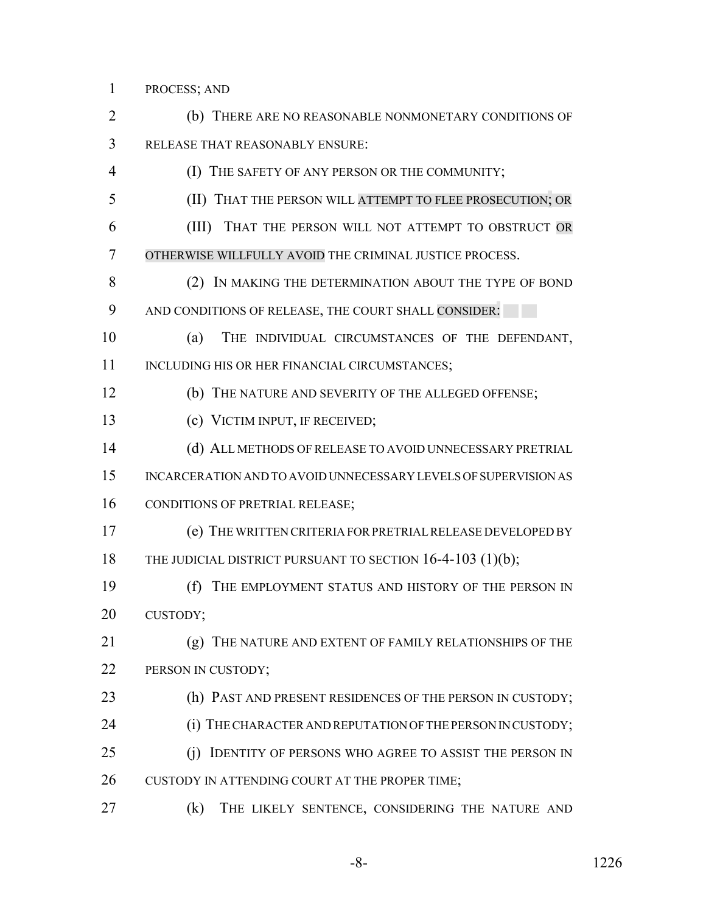PROCESS; AND

 (b) THERE ARE NO REASONABLE NONMONETARY CONDITIONS OF RELEASE THAT REASONABLY ENSURE: (I) THE SAFETY OF ANY PERSON OR THE COMMUNITY; (II) THAT THE PERSON WILL ATTEMPT TO FLEE PROSECUTION; OR (III) THAT THE PERSON WILL NOT ATTEMPT TO OBSTRUCT OR OTHERWISE WILLFULLY AVOID THE CRIMINAL JUSTICE PROCESS. (2) IN MAKING THE DETERMINATION ABOUT THE TYPE OF BOND AND CONDITIONS OF RELEASE, THE COURT SHALL CONSIDER: (a) THE INDIVIDUAL CIRCUMSTANCES OF THE DEFENDANT, 11 INCLUDING HIS OR HER FINANCIAL CIRCUMSTANCES; (b) THE NATURE AND SEVERITY OF THE ALLEGED OFFENSE; (c) VICTIM INPUT, IF RECEIVED; (d) ALL METHODS OF RELEASE TO AVOID UNNECESSARY PRETRIAL INCARCERATION AND TO AVOID UNNECESSARY LEVELS OF SUPERVISION AS 16 CONDITIONS OF PRETRIAL RELEASE; (e) THE WRITTEN CRITERIA FOR PRETRIAL RELEASE DEVELOPED BY 18 THE JUDICIAL DISTRICT PURSUANT TO SECTION 16-4-103 (1)(b); (f) THE EMPLOYMENT STATUS AND HISTORY OF THE PERSON IN CUSTODY; (g) THE NATURE AND EXTENT OF FAMILY RELATIONSHIPS OF THE 22 PERSON IN CUSTODY; 23 (h) PAST AND PRESENT RESIDENCES OF THE PERSON IN CUSTODY; 24 (i) THE CHARACTER AND REPUTATION OF THE PERSON IN CUSTODY; 25 (j) IDENTITY OF PERSONS WHO AGREE TO ASSIST THE PERSON IN 26 CUSTODY IN ATTENDING COURT AT THE PROPER TIME; (k) THE LIKELY SENTENCE, CONSIDERING THE NATURE AND

-8- 1226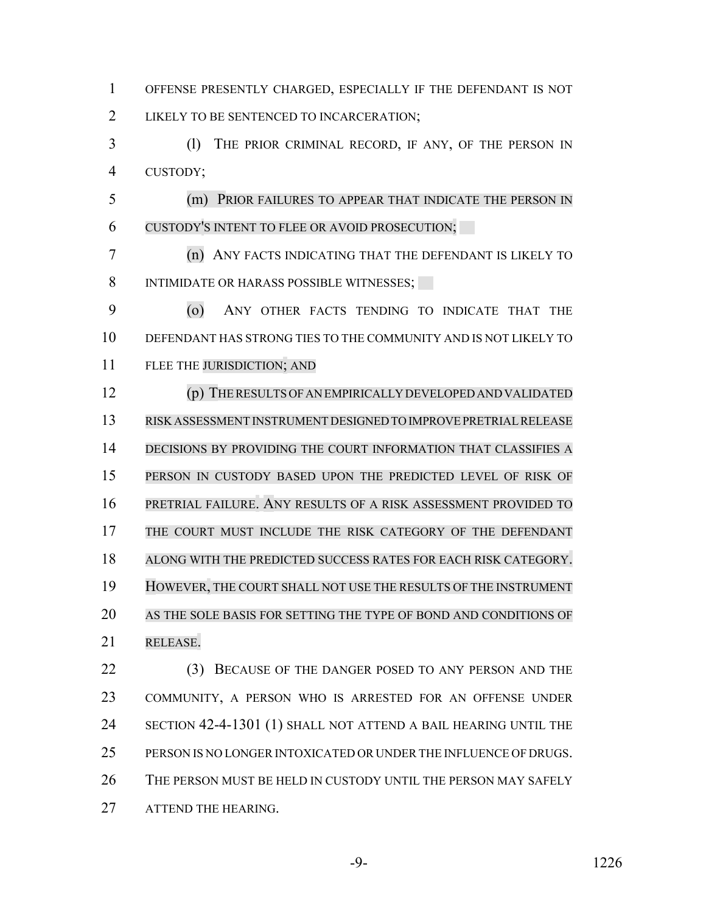OFFENSE PRESENTLY CHARGED, ESPECIALLY IF THE DEFENDANT IS NOT 2 LIKELY TO BE SENTENCED TO INCARCERATION; (l) THE PRIOR CRIMINAL RECORD, IF ANY, OF THE PERSON IN CUSTODY; (m) PRIOR FAILURES TO APPEAR THAT INDICATE THE PERSON IN CUSTODY'S INTENT TO FLEE OR AVOID PROSECUTION; (n) ANY FACTS INDICATING THAT THE DEFENDANT IS LIKELY TO 8 INTIMIDATE OR HARASS POSSIBLE WITNESSES; (o) ANY OTHER FACTS TENDING TO INDICATE THAT THE DEFENDANT HAS STRONG TIES TO THE COMMUNITY AND IS NOT LIKELY TO FLEE THE JURISDICTION; AND (p) THERESULTSOFANEMPIRICALLYDEVELOPEDANDVALIDATED RISK ASSESSMENT INSTRUMENT DESIGNED TO IMPROVE PRETRIAL RELEASE 14 DECISIONS BY PROVIDING THE COURT INFORMATION THAT CLASSIFIES A PERSON IN CUSTODY BASED UPON THE PREDICTED LEVEL OF RISK OF PRETRIAL FAILURE. ANY RESULTS OF A RISK ASSESSMENT PROVIDED TO 17 THE COURT MUST INCLUDE THE RISK CATEGORY OF THE DEFENDANT ALONG WITH THE PREDICTED SUCCESS RATES FOR EACH RISK CATEGORY. HOWEVER, THE COURT SHALL NOT USE THE RESULTS OF THE INSTRUMENT AS THE SOLE BASIS FOR SETTING THE TYPE OF BOND AND CONDITIONS OF RELEASE. 22 (3) BECAUSE OF THE DANGER POSED TO ANY PERSON AND THE COMMUNITY, A PERSON WHO IS ARRESTED FOR AN OFFENSE UNDER SECTION 42-4-1301 (1) SHALL NOT ATTEND A BAIL HEARING UNTIL THE PERSON IS NO LONGER INTOXICATED OR UNDER THE INFLUENCE OF DRUGS. THE PERSON MUST BE HELD IN CUSTODY UNTIL THE PERSON MAY SAFELY

27 ATTEND THE HEARING.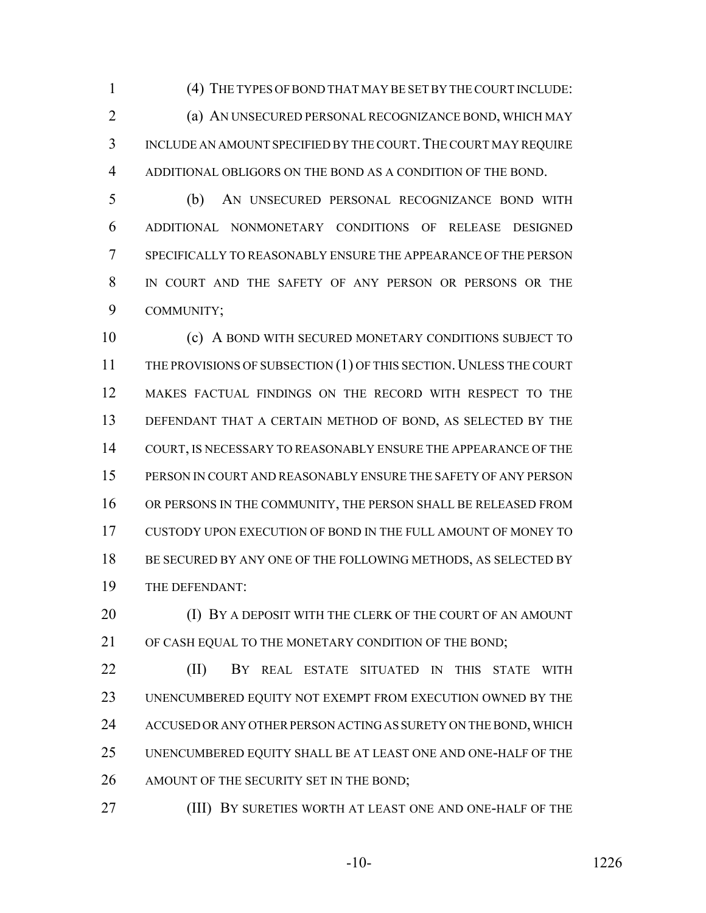(4) THE TYPES OF BOND THAT MAY BE SET BY THE COURT INCLUDE:

 (a) AN UNSECURED PERSONAL RECOGNIZANCE BOND, WHICH MAY INCLUDE AN AMOUNT SPECIFIED BY THE COURT.THE COURT MAY REQUIRE ADDITIONAL OBLIGORS ON THE BOND AS A CONDITION OF THE BOND.

 (b) AN UNSECURED PERSONAL RECOGNIZANCE BOND WITH ADDITIONAL NONMONETARY CONDITIONS OF RELEASE DESIGNED SPECIFICALLY TO REASONABLY ENSURE THE APPEARANCE OF THE PERSON IN COURT AND THE SAFETY OF ANY PERSON OR PERSONS OR THE COMMUNITY;

 (c) A BOND WITH SECURED MONETARY CONDITIONS SUBJECT TO 11 THE PROVISIONS OF SUBSECTION (1) OF THIS SECTION. UNLESS THE COURT MAKES FACTUAL FINDINGS ON THE RECORD WITH RESPECT TO THE DEFENDANT THAT A CERTAIN METHOD OF BOND, AS SELECTED BY THE COURT, IS NECESSARY TO REASONABLY ENSURE THE APPEARANCE OF THE PERSON IN COURT AND REASONABLY ENSURE THE SAFETY OF ANY PERSON OR PERSONS IN THE COMMUNITY, THE PERSON SHALL BE RELEASED FROM CUSTODY UPON EXECUTION OF BOND IN THE FULL AMOUNT OF MONEY TO 18 BE SECURED BY ANY ONE OF THE FOLLOWING METHODS, AS SELECTED BY THE DEFENDANT:

**(I) BY A DEPOSIT WITH THE CLERK OF THE COURT OF AN AMOUNT** 21 OF CASH EQUAL TO THE MONETARY CONDITION OF THE BOND:

 (II) BY REAL ESTATE SITUATED IN THIS STATE WITH UNENCUMBERED EQUITY NOT EXEMPT FROM EXECUTION OWNED BY THE ACCUSED OR ANY OTHER PERSON ACTING AS SURETY ON THE BOND, WHICH UNENCUMBERED EQUITY SHALL BE AT LEAST ONE AND ONE-HALF OF THE 26 AMOUNT OF THE SECURITY SET IN THE BOND;

(III) BY SURETIES WORTH AT LEAST ONE AND ONE-HALF OF THE

-10- 1226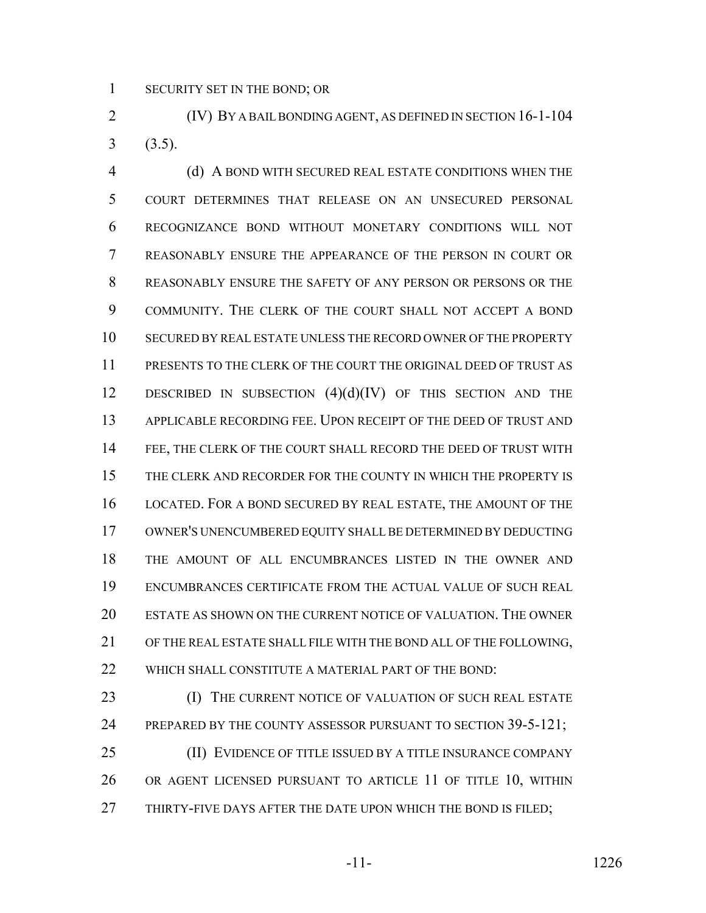SECURITY SET IN THE BOND; OR

 (IV) BY A BAIL BONDING AGENT, AS DEFINED IN SECTION 16-1-104  $3(3.5)$ .

 (d) A BOND WITH SECURED REAL ESTATE CONDITIONS WHEN THE COURT DETERMINES THAT RELEASE ON AN UNSECURED PERSONAL RECOGNIZANCE BOND WITHOUT MONETARY CONDITIONS WILL NOT REASONABLY ENSURE THE APPEARANCE OF THE PERSON IN COURT OR REASONABLY ENSURE THE SAFETY OF ANY PERSON OR PERSONS OR THE COMMUNITY. THE CLERK OF THE COURT SHALL NOT ACCEPT A BOND SECURED BY REAL ESTATE UNLESS THE RECORD OWNER OF THE PROPERTY PRESENTS TO THE CLERK OF THE COURT THE ORIGINAL DEED OF TRUST AS 12 DESCRIBED IN SUBSECTION  $(4)(d)(IV)$  OF THIS SECTION AND THE APPLICABLE RECORDING FEE. UPON RECEIPT OF THE DEED OF TRUST AND 14 FEE, THE CLERK OF THE COURT SHALL RECORD THE DEED OF TRUST WITH THE CLERK AND RECORDER FOR THE COUNTY IN WHICH THE PROPERTY IS LOCATED. FOR A BOND SECURED BY REAL ESTATE, THE AMOUNT OF THE OWNER'S UNENCUMBERED EQUITY SHALL BE DETERMINED BY DEDUCTING THE AMOUNT OF ALL ENCUMBRANCES LISTED IN THE OWNER AND ENCUMBRANCES CERTIFICATE FROM THE ACTUAL VALUE OF SUCH REAL ESTATE AS SHOWN ON THE CURRENT NOTICE OF VALUATION. THE OWNER OF THE REAL ESTATE SHALL FILE WITH THE BOND ALL OF THE FOLLOWING, 22 WHICH SHALL CONSTITUTE A MATERIAL PART OF THE BOND:

**(I) THE CURRENT NOTICE OF VALUATION OF SUCH REAL ESTATE** 24 PREPARED BY THE COUNTY ASSESSOR PURSUANT TO SECTION 39-5-121; (II) EVIDENCE OF TITLE ISSUED BY A TITLE INSURANCE COMPANY

 OR AGENT LICENSED PURSUANT TO ARTICLE 11 OF TITLE 10, WITHIN 27 THIRTY-FIVE DAYS AFTER THE DATE UPON WHICH THE BOND IS FILED;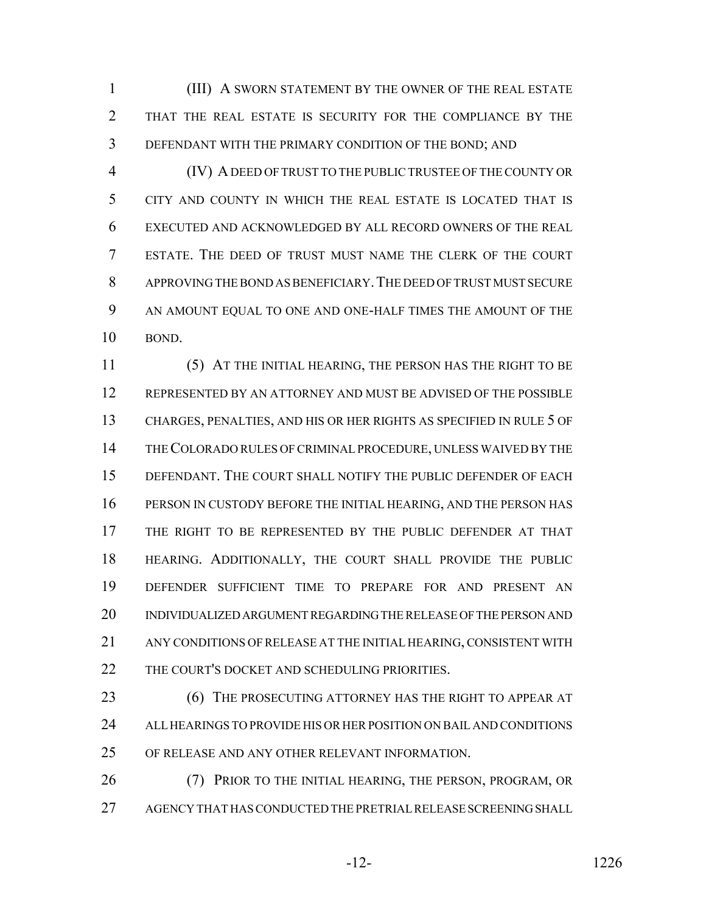(III) A SWORN STATEMENT BY THE OWNER OF THE REAL ESTATE THAT THE REAL ESTATE IS SECURITY FOR THE COMPLIANCE BY THE DEFENDANT WITH THE PRIMARY CONDITION OF THE BOND; AND

 (IV) A DEED OF TRUST TO THE PUBLIC TRUSTEE OF THE COUNTY OR CITY AND COUNTY IN WHICH THE REAL ESTATE IS LOCATED THAT IS EXECUTED AND ACKNOWLEDGED BY ALL RECORD OWNERS OF THE REAL ESTATE. THE DEED OF TRUST MUST NAME THE CLERK OF THE COURT APPROVING THE BOND AS BENEFICIARY.THE DEED OF TRUST MUST SECURE AN AMOUNT EQUAL TO ONE AND ONE-HALF TIMES THE AMOUNT OF THE BOND.

 (5) AT THE INITIAL HEARING, THE PERSON HAS THE RIGHT TO BE REPRESENTED BY AN ATTORNEY AND MUST BE ADVISED OF THE POSSIBLE CHARGES, PENALTIES, AND HIS OR HER RIGHTS AS SPECIFIED IN RULE 5 OF THE COLORADO RULES OF CRIMINAL PROCEDURE, UNLESS WAIVED BY THE DEFENDANT. THE COURT SHALL NOTIFY THE PUBLIC DEFENDER OF EACH PERSON IN CUSTODY BEFORE THE INITIAL HEARING, AND THE PERSON HAS THE RIGHT TO BE REPRESENTED BY THE PUBLIC DEFENDER AT THAT HEARING. ADDITIONALLY, THE COURT SHALL PROVIDE THE PUBLIC DEFENDER SUFFICIENT TIME TO PREPARE FOR AND PRESENT AN INDIVIDUALIZED ARGUMENT REGARDING THE RELEASE OF THE PERSON AND ANY CONDITIONS OF RELEASE AT THE INITIAL HEARING, CONSISTENT WITH 22 THE COURT'S DOCKET AND SCHEDULING PRIORITIES.

**(6) THE PROSECUTING ATTORNEY HAS THE RIGHT TO APPEAR AT**  ALL HEARINGS TO PROVIDE HIS OR HER POSITION ON BAIL AND CONDITIONS OF RELEASE AND ANY OTHER RELEVANT INFORMATION.

 (7) PRIOR TO THE INITIAL HEARING, THE PERSON, PROGRAM, OR AGENCY THAT HAS CONDUCTED THE PRETRIAL RELEASE SCREENING SHALL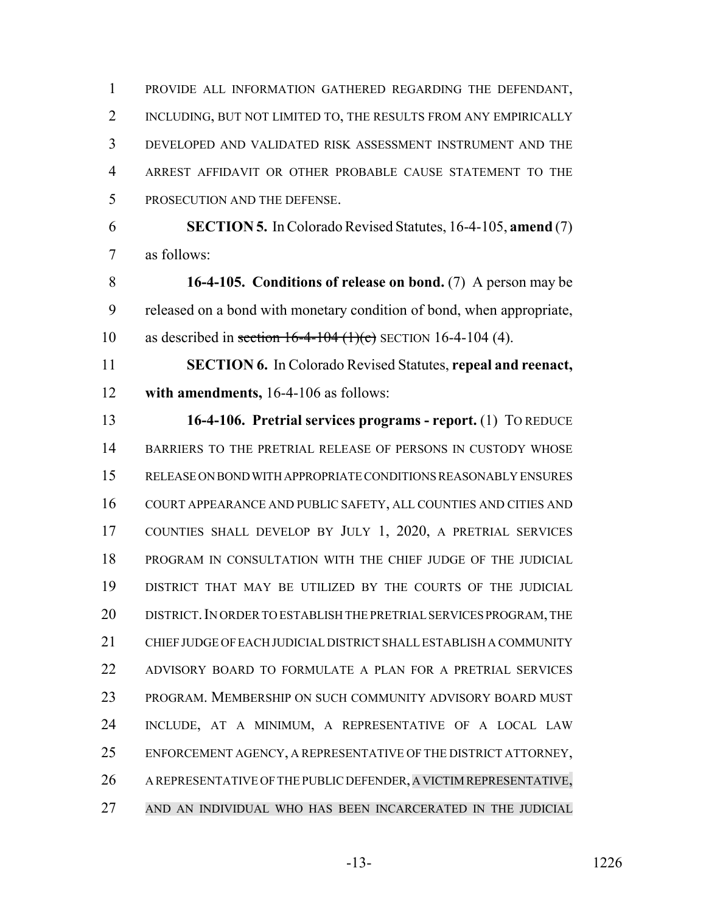PROVIDE ALL INFORMATION GATHERED REGARDING THE DEFENDANT, INCLUDING, BUT NOT LIMITED TO, THE RESULTS FROM ANY EMPIRICALLY DEVELOPED AND VALIDATED RISK ASSESSMENT INSTRUMENT AND THE ARREST AFFIDAVIT OR OTHER PROBABLE CAUSE STATEMENT TO THE PROSECUTION AND THE DEFENSE.

 **SECTION 5.** In Colorado Revised Statutes, 16-4-105, **amend** (7) as follows:

 **16-4-105. Conditions of release on bond.** (7) A person may be released on a bond with monetary condition of bond, when appropriate, 10 as described in section  $16-4-104$  (1)(c) SECTION 16-4-104 (4).

 **SECTION 6.** In Colorado Revised Statutes, **repeal and reenact, with amendments,** 16-4-106 as follows:

 **16-4-106. Pretrial services programs - report.** (1) TO REDUCE 14 BARRIERS TO THE PRETRIAL RELEASE OF PERSONS IN CUSTODY WHOSE RELEASE ON BOND WITH APPROPRIATE CONDITIONS REASONABLY ENSURES COURT APPEARANCE AND PUBLIC SAFETY, ALL COUNTIES AND CITIES AND COUNTIES SHALL DEVELOP BY JULY 1, 2020, A PRETRIAL SERVICES PROGRAM IN CONSULTATION WITH THE CHIEF JUDGE OF THE JUDICIAL DISTRICT THAT MAY BE UTILIZED BY THE COURTS OF THE JUDICIAL 20 DISTRICT. IN ORDER TO ESTABLISH THE PRETRIAL SERVICES PROGRAM, THE CHIEF JUDGE OF EACH JUDICIAL DISTRICT SHALL ESTABLISH A COMMUNITY ADVISORY BOARD TO FORMULATE A PLAN FOR A PRETRIAL SERVICES PROGRAM. MEMBERSHIP ON SUCH COMMUNITY ADVISORY BOARD MUST INCLUDE, AT A MINIMUM, A REPRESENTATIVE OF A LOCAL LAW ENFORCEMENT AGENCY, A REPRESENTATIVE OF THE DISTRICT ATTORNEY, 26 A REPRESENTATIVE OF THE PUBLIC DEFENDER, A VICTIM REPRESENTATIVE, AND AN INDIVIDUAL WHO HAS BEEN INCARCERATED IN THE JUDICIAL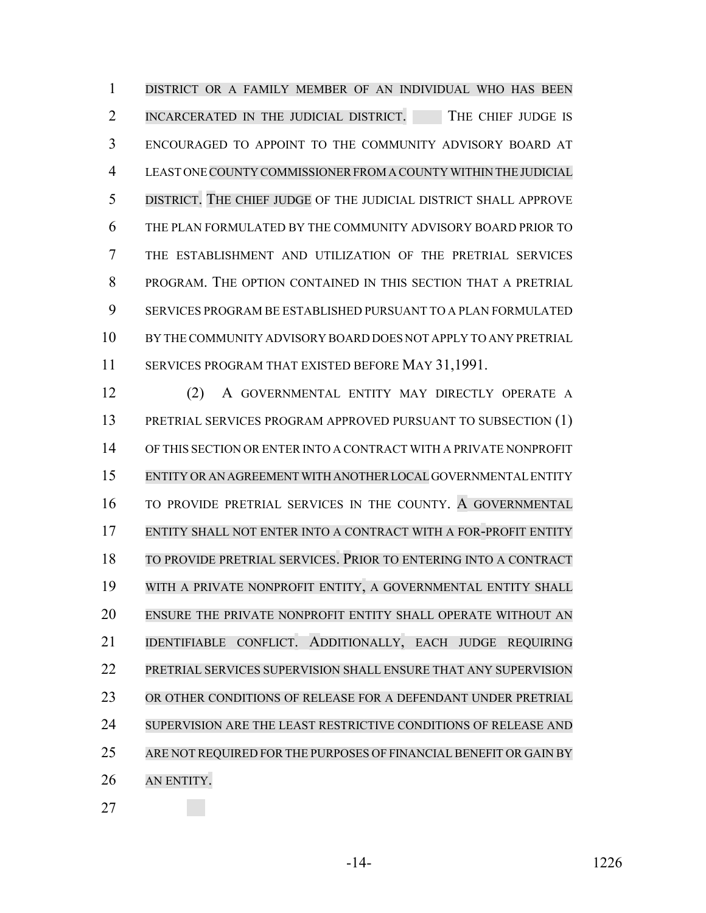DISTRICT OR A FAMILY MEMBER OF AN INDIVIDUAL WHO HAS BEEN 2 INCARCERATED IN THE JUDICIAL DISTRICT. THE CHIEF JUDGE IS ENCOURAGED TO APPOINT TO THE COMMUNITY ADVISORY BOARD AT LEAST ONE COUNTY COMMISSIONERFROMA COUNTYWITHIN THE JUDICIAL DISTRICT. THE CHIEF JUDGE OF THE JUDICIAL DISTRICT SHALL APPROVE THE PLAN FORMULATED BY THE COMMUNITY ADVISORY BOARD PRIOR TO THE ESTABLISHMENT AND UTILIZATION OF THE PRETRIAL SERVICES PROGRAM. THE OPTION CONTAINED IN THIS SECTION THAT A PRETRIAL SERVICES PROGRAM BE ESTABLISHED PURSUANT TO A PLAN FORMULATED BY THE COMMUNITY ADVISORY BOARD DOES NOT APPLY TO ANY PRETRIAL SERVICES PROGRAM THAT EXISTED BEFORE MAY 31,1991.

 (2) A GOVERNMENTAL ENTITY MAY DIRECTLY OPERATE A PRETRIAL SERVICES PROGRAM APPROVED PURSUANT TO SUBSECTION (1) OF THIS SECTION OR ENTER INTO A CONTRACT WITH A PRIVATE NONPROFIT ENTITY OR AN AGREEMENT WITH ANOTHER LOCAL GOVERNMENTAL ENTITY TO PROVIDE PRETRIAL SERVICES IN THE COUNTY. A GOVERNMENTAL ENTITY SHALL NOT ENTER INTO A CONTRACT WITH A FOR-PROFIT ENTITY TO PROVIDE PRETRIAL SERVICES. PRIOR TO ENTERING INTO A CONTRACT WITH A PRIVATE NONPROFIT ENTITY, A GOVERNMENTAL ENTITY SHALL ENSURE THE PRIVATE NONPROFIT ENTITY SHALL OPERATE WITHOUT AN IDENTIFIABLE CONFLICT. ADDITIONALLY, EACH JUDGE REQUIRING PRETRIAL SERVICES SUPERVISION SHALL ENSURE THAT ANY SUPERVISION OR OTHER CONDITIONS OF RELEASE FOR A DEFENDANT UNDER PRETRIAL 24 SUPERVISION ARE THE LEAST RESTRICTIVE CONDITIONS OF RELEASE AND 25 ARE NOT REQUIRED FOR THE PURPOSES OF FINANCIAL BENEFIT OR GAIN BY AN ENTITY.

-14- 1226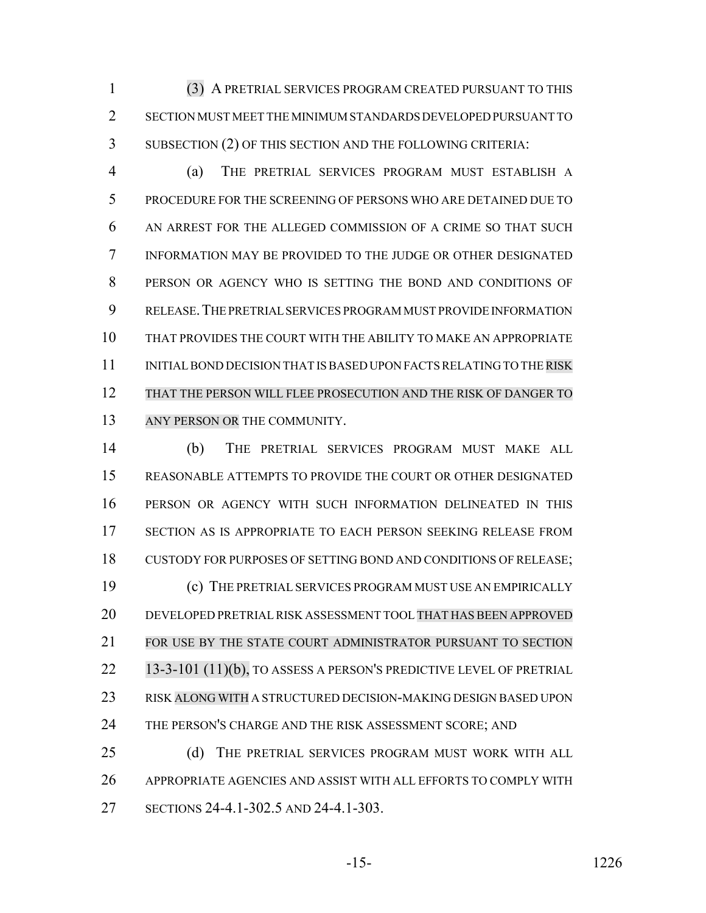(3) A PRETRIAL SERVICES PROGRAM CREATED PURSUANT TO THIS SECTION MUST MEET THE MINIMUM STANDARDS DEVELOPED PURSUANT TO SUBSECTION (2) OF THIS SECTION AND THE FOLLOWING CRITERIA:

 (a) THE PRETRIAL SERVICES PROGRAM MUST ESTABLISH A PROCEDURE FOR THE SCREENING OF PERSONS WHO ARE DETAINED DUE TO AN ARREST FOR THE ALLEGED COMMISSION OF A CRIME SO THAT SUCH INFORMATION MAY BE PROVIDED TO THE JUDGE OR OTHER DESIGNATED PERSON OR AGENCY WHO IS SETTING THE BOND AND CONDITIONS OF RELEASE.THE PRETRIAL SERVICES PROGRAM MUST PROVIDE INFORMATION THAT PROVIDES THE COURT WITH THE ABILITY TO MAKE AN APPROPRIATE 11 INITIAL BOND DECISION THAT IS BASED UPON FACTS RELATING TO THE RISK THAT THE PERSON WILL FLEE PROSECUTION AND THE RISK OF DANGER TO 13 ANY PERSON OR THE COMMUNITY.

 (b) THE PRETRIAL SERVICES PROGRAM MUST MAKE ALL REASONABLE ATTEMPTS TO PROVIDE THE COURT OR OTHER DESIGNATED PERSON OR AGENCY WITH SUCH INFORMATION DELINEATED IN THIS SECTION AS IS APPROPRIATE TO EACH PERSON SEEKING RELEASE FROM CUSTODY FOR PURPOSES OF SETTING BOND AND CONDITIONS OF RELEASE; (c) THE PRETRIAL SERVICES PROGRAM MUST USE AN EMPIRICALLY DEVELOPED PRETRIAL RISK ASSESSMENT TOOL THAT HAS BEEN APPROVED FOR USE BY THE STATE COURT ADMINISTRATOR PURSUANT TO SECTION 22 13-3-101 (11)(b), TO ASSESS A PERSON'S PREDICTIVE LEVEL OF PRETRIAL RISK ALONG WITH A STRUCTURED DECISION-MAKING DESIGN BASED UPON THE PERSON'S CHARGE AND THE RISK ASSESSMENT SCORE; AND (d) THE PRETRIAL SERVICES PROGRAM MUST WORK WITH ALL

 APPROPRIATE AGENCIES AND ASSIST WITH ALL EFFORTS TO COMPLY WITH SECTIONS 24-4.1-302.5 AND 24-4.1-303.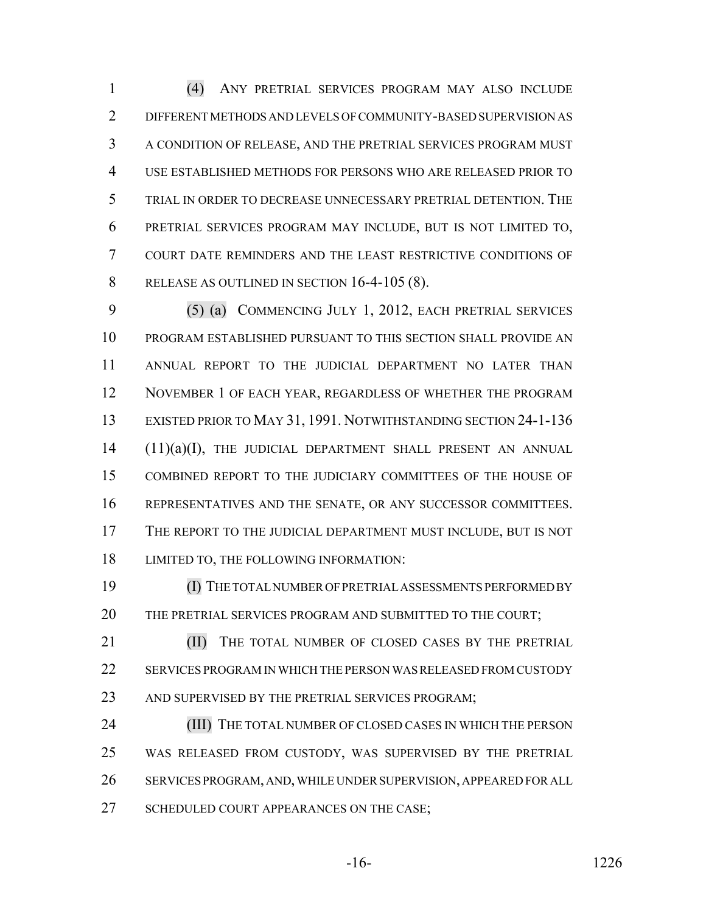(4) ANY PRETRIAL SERVICES PROGRAM MAY ALSO INCLUDE DIFFERENT METHODS AND LEVELS OF COMMUNITY-BASED SUPERVISION AS A CONDITION OF RELEASE, AND THE PRETRIAL SERVICES PROGRAM MUST USE ESTABLISHED METHODS FOR PERSONS WHO ARE RELEASED PRIOR TO TRIAL IN ORDER TO DECREASE UNNECESSARY PRETRIAL DETENTION. THE PRETRIAL SERVICES PROGRAM MAY INCLUDE, BUT IS NOT LIMITED TO, COURT DATE REMINDERS AND THE LEAST RESTRICTIVE CONDITIONS OF RELEASE AS OUTLINED IN SECTION 16-4-105 (8).

 (5) (a) COMMENCING JULY 1, 2012, EACH PRETRIAL SERVICES PROGRAM ESTABLISHED PURSUANT TO THIS SECTION SHALL PROVIDE AN ANNUAL REPORT TO THE JUDICIAL DEPARTMENT NO LATER THAN NOVEMBER 1 OF EACH YEAR, REGARDLESS OF WHETHER THE PROGRAM EXISTED PRIOR TO MAY 31, 1991. NOTWITHSTANDING SECTION 24-1-136 (11)(a)(I), THE JUDICIAL DEPARTMENT SHALL PRESENT AN ANNUAL COMBINED REPORT TO THE JUDICIARY COMMITTEES OF THE HOUSE OF REPRESENTATIVES AND THE SENATE, OR ANY SUCCESSOR COMMITTEES. THE REPORT TO THE JUDICIAL DEPARTMENT MUST INCLUDE, BUT IS NOT LIMITED TO, THE FOLLOWING INFORMATION:

 (I) THE TOTAL NUMBER OF PRETRIAL ASSESSMENTS PERFORMED BY THE PRETRIAL SERVICES PROGRAM AND SUBMITTED TO THE COURT;

**(II)** THE TOTAL NUMBER OF CLOSED CASES BY THE PRETRIAL SERVICES PROGRAM IN WHICH THE PERSON WAS RELEASED FROM CUSTODY 23 AND SUPERVISED BY THE PRETRIAL SERVICES PROGRAM;

 (III) THE TOTAL NUMBER OF CLOSED CASES IN WHICH THE PERSON WAS RELEASED FROM CUSTODY, WAS SUPERVISED BY THE PRETRIAL SERVICES PROGRAM, AND, WHILE UNDER SUPERVISION, APPEARED FOR ALL 27 SCHEDULED COURT APPEARANCES ON THE CASE;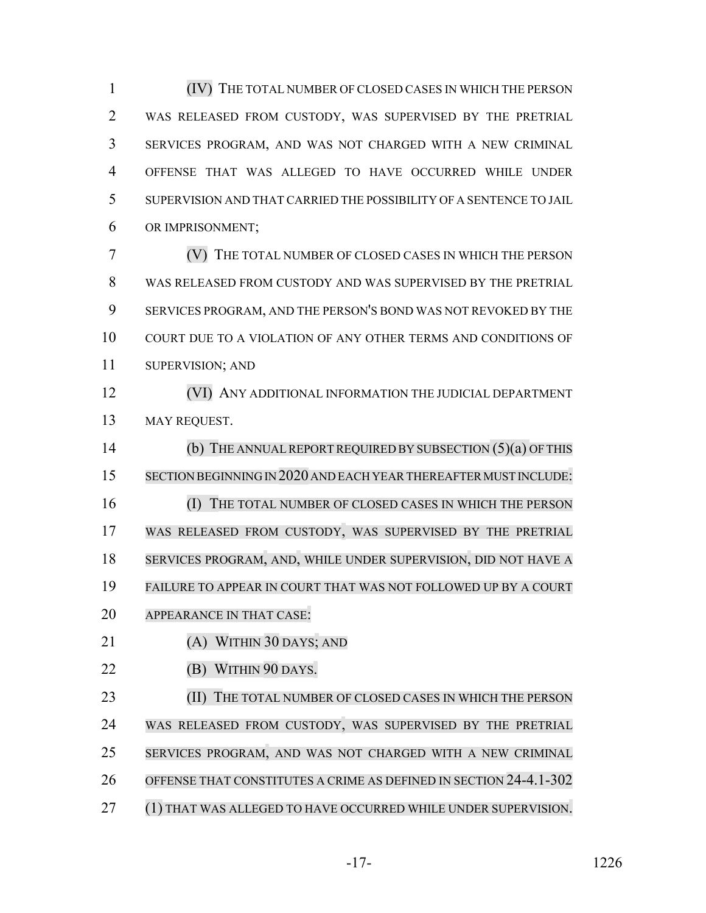(IV) THE TOTAL NUMBER OF CLOSED CASES IN WHICH THE PERSON WAS RELEASED FROM CUSTODY, WAS SUPERVISED BY THE PRETRIAL SERVICES PROGRAM, AND WAS NOT CHARGED WITH A NEW CRIMINAL OFFENSE THAT WAS ALLEGED TO HAVE OCCURRED WHILE UNDER SUPERVISION AND THAT CARRIED THE POSSIBILITY OF A SENTENCE TO JAIL OR IMPRISONMENT;

 (V) THE TOTAL NUMBER OF CLOSED CASES IN WHICH THE PERSON WAS RELEASED FROM CUSTODY AND WAS SUPERVISED BY THE PRETRIAL SERVICES PROGRAM, AND THE PERSON'S BOND WAS NOT REVOKED BY THE COURT DUE TO A VIOLATION OF ANY OTHER TERMS AND CONDITIONS OF SUPERVISION; AND

 (VI) ANY ADDITIONAL INFORMATION THE JUDICIAL DEPARTMENT 13 MAY REQUEST.

 (b) THE ANNUALREPORT REQUIRED BY SUBSECTION (5)(a) OF THIS SECTION BEGINNING IN 2020 AND EACH YEARTHEREAFTER MUST INCLUDE: (I) THE TOTAL NUMBER OF CLOSED CASES IN WHICH THE PERSON WAS RELEASED FROM CUSTODY, WAS SUPERVISED BY THE PRETRIAL SERVICES PROGRAM, AND, WHILE UNDER SUPERVISION, DID NOT HAVE A FAILURE TO APPEAR IN COURT THAT WAS NOT FOLLOWED UP BY A COURT APPEARANCE IN THAT CASE:

- (A) WITHIN 30 DAYS; AND
- **(B) WITHIN 90 DAYS.**

 (II) THE TOTAL NUMBER OF CLOSED CASES IN WHICH THE PERSON WAS RELEASED FROM CUSTODY, WAS SUPERVISED BY THE PRETRIAL SERVICES PROGRAM, AND WAS NOT CHARGED WITH A NEW CRIMINAL OFFENSE THAT CONSTITUTES A CRIME AS DEFINED IN SECTION 24-4.1-302 (1) THAT WAS ALLEGED TO HAVE OCCURRED WHILE UNDER SUPERVISION.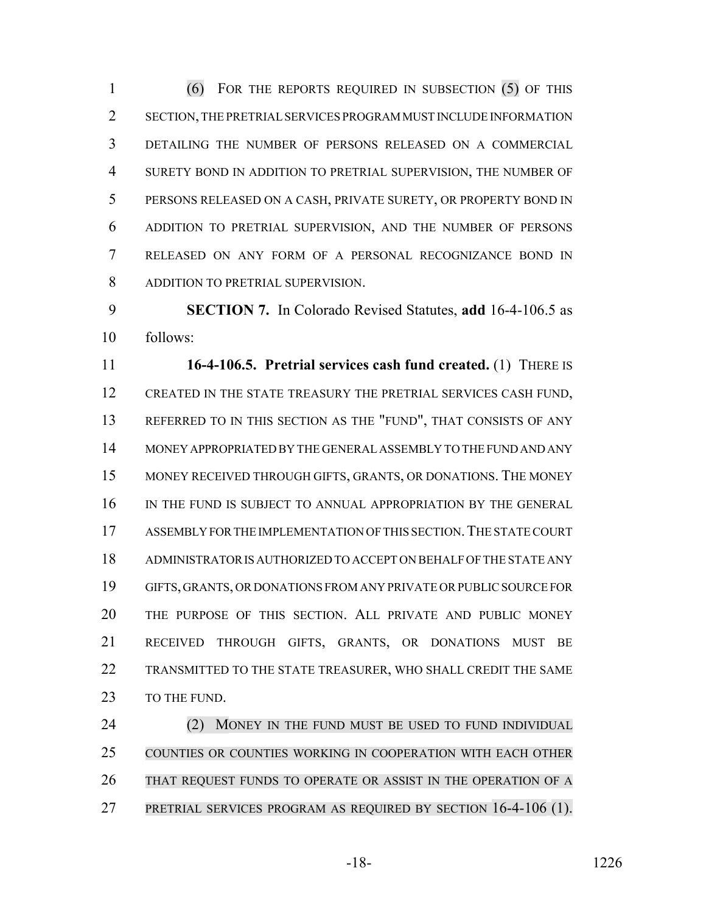(6) FOR THE REPORTS REQUIRED IN SUBSECTION (5) OF THIS SECTION, THE PRETRIAL SERVICES PROGRAM MUST INCLUDE INFORMATION DETAILING THE NUMBER OF PERSONS RELEASED ON A COMMERCIAL SURETY BOND IN ADDITION TO PRETRIAL SUPERVISION, THE NUMBER OF PERSONS RELEASED ON A CASH, PRIVATE SURETY, OR PROPERTY BOND IN ADDITION TO PRETRIAL SUPERVISION, AND THE NUMBER OF PERSONS RELEASED ON ANY FORM OF A PERSONAL RECOGNIZANCE BOND IN ADDITION TO PRETRIAL SUPERVISION.

 **SECTION 7.** In Colorado Revised Statutes, **add** 16-4-106.5 as follows:

 **16-4-106.5. Pretrial services cash fund created.** (1) THERE IS CREATED IN THE STATE TREASURY THE PRETRIAL SERVICES CASH FUND, REFERRED TO IN THIS SECTION AS THE "FUND", THAT CONSISTS OF ANY MONEY APPROPRIATED BY THE GENERAL ASSEMBLY TO THE FUND AND ANY MONEY RECEIVED THROUGH GIFTS, GRANTS, OR DONATIONS. THE MONEY IN THE FUND IS SUBJECT TO ANNUAL APPROPRIATION BY THE GENERAL 17 ASSEMBLY FOR THE IMPLEMENTATION OF THIS SECTION. THE STATE COURT ADMINISTRATOR IS AUTHORIZED TO ACCEPT ON BEHALF OF THE STATE ANY GIFTS, GRANTS, OR DONATIONS FROM ANY PRIVATE OR PUBLIC SOURCE FOR THE PURPOSE OF THIS SECTION. ALL PRIVATE AND PUBLIC MONEY RECEIVED THROUGH GIFTS, GRANTS, OR DONATIONS MUST BE TRANSMITTED TO THE STATE TREASURER, WHO SHALL CREDIT THE SAME 23 TO THE FUND.

24 (2) MONEY IN THE FUND MUST BE USED TO FUND INDIVIDUAL COUNTIES OR COUNTIES WORKING IN COOPERATION WITH EACH OTHER 26 THAT REQUEST FUNDS TO OPERATE OR ASSIST IN THE OPERATION OF A PRETRIAL SERVICES PROGRAM AS REQUIRED BY SECTION 16-4-106 (1).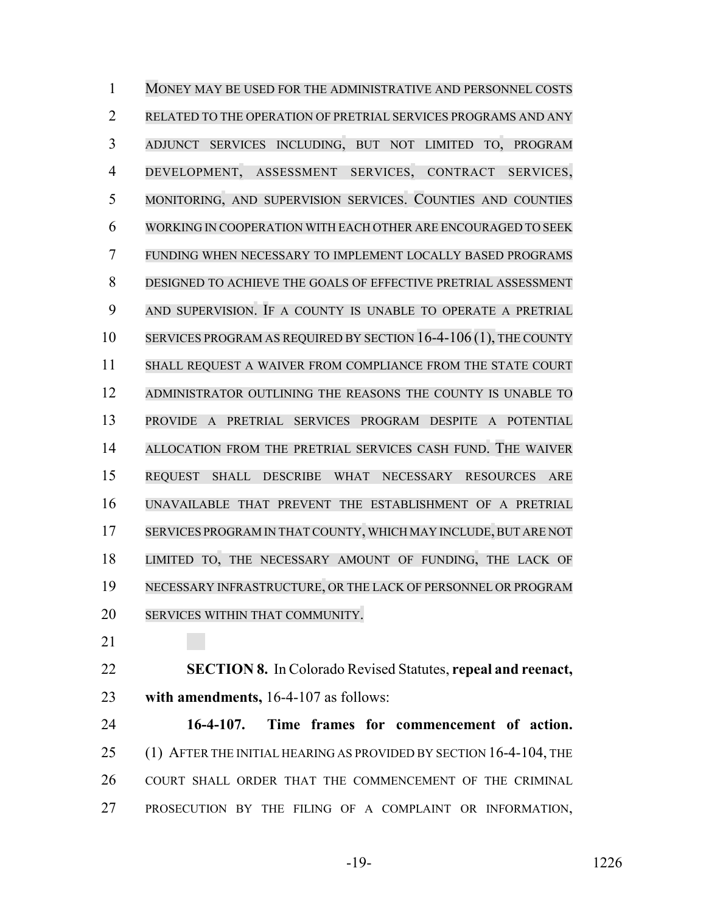MONEY MAY BE USED FOR THE ADMINISTRATIVE AND PERSONNEL COSTS RELATED TO THE OPERATION OF PRETRIAL SERVICES PROGRAMS AND ANY ADJUNCT SERVICES INCLUDING, BUT NOT LIMITED TO, PROGRAM DEVELOPMENT, ASSESSMENT SERVICES, CONTRACT SERVICES, MONITORING, AND SUPERVISION SERVICES. COUNTIES AND COUNTIES WORKING IN COOPERATION WITH EACH OTHER ARE ENCOURAGED TO SEEK FUNDING WHEN NECESSARY TO IMPLEMENT LOCALLY BASED PROGRAMS DESIGNED TO ACHIEVE THE GOALS OF EFFECTIVE PRETRIAL ASSESSMENT AND SUPERVISION. IF A COUNTY IS UNABLE TO OPERATE A PRETRIAL 10 SERVICES PROGRAM AS REQUIRED BY SECTION 16-4-106 (1), THE COUNTY SHALL REQUEST A WAIVER FROM COMPLIANCE FROM THE STATE COURT ADMINISTRATOR OUTLINING THE REASONS THE COUNTY IS UNABLE TO PROVIDE A PRETRIAL SERVICES PROGRAM DESPITE A POTENTIAL ALLOCATION FROM THE PRETRIAL SERVICES CASH FUND. THE WAIVER REQUEST SHALL DESCRIBE WHAT NECESSARY RESOURCES ARE UNAVAILABLE THAT PREVENT THE ESTABLISHMENT OF A PRETRIAL SERVICES PROGRAM IN THAT COUNTY, WHICH MAY INCLUDE,BUT ARE NOT LIMITED TO, THE NECESSARY AMOUNT OF FUNDING, THE LACK OF NECESSARY INFRASTRUCTURE, OR THE LACK OF PERSONNEL OR PROGRAM SERVICES WITHIN THAT COMMUNITY.

 **SECTION 8.** In Colorado Revised Statutes, **repeal and reenact, with amendments,** 16-4-107 as follows:

 **16-4-107. Time frames for commencement of action.** 25 (1) AFTER THE INITIAL HEARING AS PROVIDED BY SECTION 16-4-104, THE COURT SHALL ORDER THAT THE COMMENCEMENT OF THE CRIMINAL PROSECUTION BY THE FILING OF A COMPLAINT OR INFORMATION,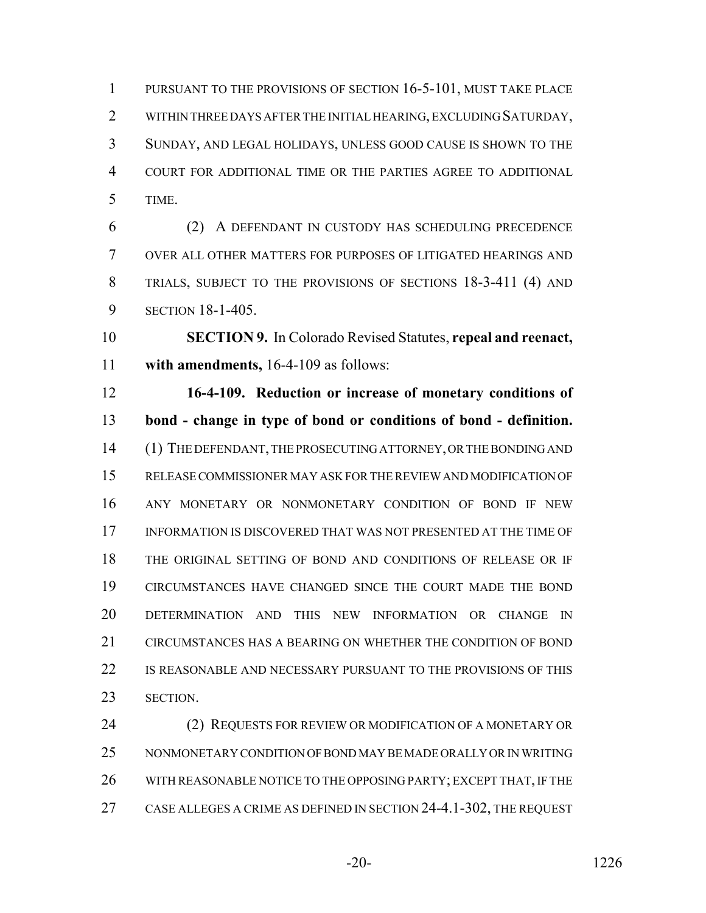PURSUANT TO THE PROVISIONS OF SECTION 16-5-101, MUST TAKE PLACE 2 WITHIN THREE DAYS AFTER THE INITIAL HEARING, EXCLUDING SATURDAY, SUNDAY, AND LEGAL HOLIDAYS, UNLESS GOOD CAUSE IS SHOWN TO THE COURT FOR ADDITIONAL TIME OR THE PARTIES AGREE TO ADDITIONAL TIME.

 (2) A DEFENDANT IN CUSTODY HAS SCHEDULING PRECEDENCE OVER ALL OTHER MATTERS FOR PURPOSES OF LITIGATED HEARINGS AND TRIALS, SUBJECT TO THE PROVISIONS OF SECTIONS 18-3-411 (4) AND SECTION 18-1-405.

 **SECTION 9.** In Colorado Revised Statutes, **repeal and reenact, with amendments,** 16-4-109 as follows:

 **16-4-109. Reduction or increase of monetary conditions of bond - change in type of bond or conditions of bond - definition.** (1) THE DEFENDANT, THE PROSECUTING ATTORNEY, OR THE BONDING AND RELEASE COMMISSIONER MAY ASK FOR THE REVIEW AND MODIFICATION OF ANY MONETARY OR NONMONETARY CONDITION OF BOND IF NEW INFORMATION IS DISCOVERED THAT WAS NOT PRESENTED AT THE TIME OF THE ORIGINAL SETTING OF BOND AND CONDITIONS OF RELEASE OR IF CIRCUMSTANCES HAVE CHANGED SINCE THE COURT MADE THE BOND DETERMINATION AND THIS NEW INFORMATION OR CHANGE IN CIRCUMSTANCES HAS A BEARING ON WHETHER THE CONDITION OF BOND IS REASONABLE AND NECESSARY PURSUANT TO THE PROVISIONS OF THIS SECTION.

24 (2) REQUESTS FOR REVIEW OR MODIFICATION OF A MONETARY OR NONMONETARY CONDITION OF BOND MAY BE MADE ORALLY OR IN WRITING WITH REASONABLE NOTICE TO THE OPPOSING PARTY; EXCEPT THAT, IF THE CASE ALLEGES A CRIME AS DEFINED IN SECTION 24-4.1-302, THE REQUEST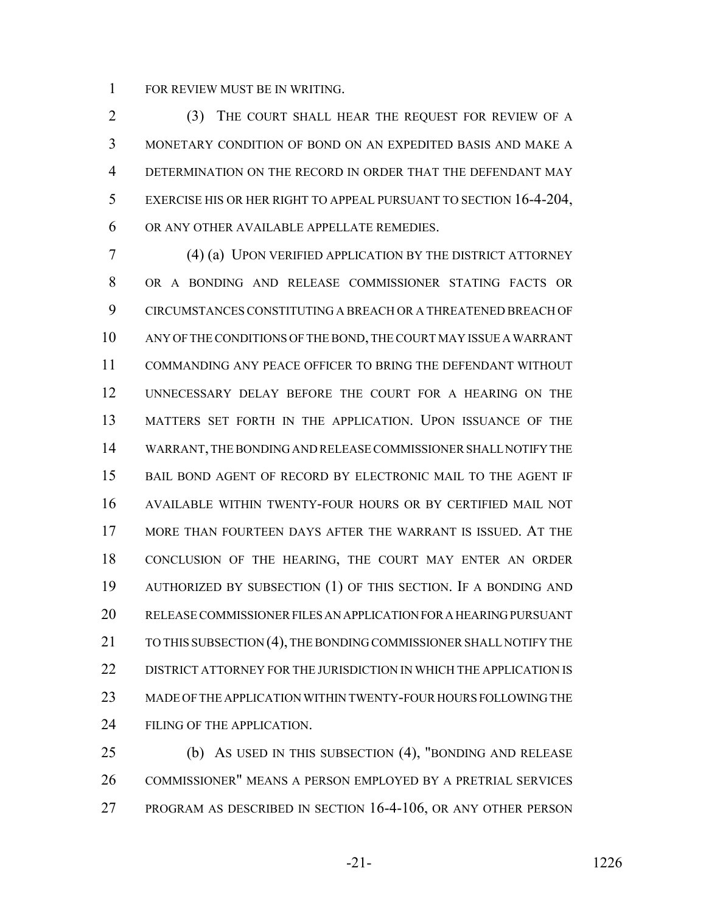FOR REVIEW MUST BE IN WRITING.

 (3) THE COURT SHALL HEAR THE REQUEST FOR REVIEW OF A MONETARY CONDITION OF BOND ON AN EXPEDITED BASIS AND MAKE A 4 DETERMINATION ON THE RECORD IN ORDER THAT THE DEFENDANT MAY EXERCISE HIS OR HER RIGHT TO APPEAL PURSUANT TO SECTION 16-4-204, OR ANY OTHER AVAILABLE APPELLATE REMEDIES.

 (4) (a) UPON VERIFIED APPLICATION BY THE DISTRICT ATTORNEY OR A BONDING AND RELEASE COMMISSIONER STATING FACTS OR CIRCUMSTANCES CONSTITUTING A BREACH OR A THREATENED BREACH OF ANY OF THE CONDITIONS OF THE BOND, THE COURT MAY ISSUE A WARRANT COMMANDING ANY PEACE OFFICER TO BRING THE DEFENDANT WITHOUT UNNECESSARY DELAY BEFORE THE COURT FOR A HEARING ON THE MATTERS SET FORTH IN THE APPLICATION. UPON ISSUANCE OF THE WARRANT, THE BONDING AND RELEASE COMMISSIONER SHALL NOTIFY THE BAIL BOND AGENT OF RECORD BY ELECTRONIC MAIL TO THE AGENT IF AVAILABLE WITHIN TWENTY-FOUR HOURS OR BY CERTIFIED MAIL NOT MORE THAN FOURTEEN DAYS AFTER THE WARRANT IS ISSUED. AT THE CONCLUSION OF THE HEARING, THE COURT MAY ENTER AN ORDER AUTHORIZED BY SUBSECTION (1) OF THIS SECTION. IF A BONDING AND RELEASE COMMISSIONER FILES AN APPLICATION FOR A HEARING PURSUANT 21 TO THIS SUBSECTION (4), THE BONDING COMMISSIONER SHALL NOTIFY THE DISTRICT ATTORNEY FOR THE JURISDICTION IN WHICH THE APPLICATION IS MADE OF THE APPLICATION WITHIN TWENTY-FOUR HOURS FOLLOWING THE 24 FILING OF THE APPLICATION.

 (b) AS USED IN THIS SUBSECTION (4), "BONDING AND RELEASE COMMISSIONER" MEANS A PERSON EMPLOYED BY A PRETRIAL SERVICES PROGRAM AS DESCRIBED IN SECTION 16-4-106, OR ANY OTHER PERSON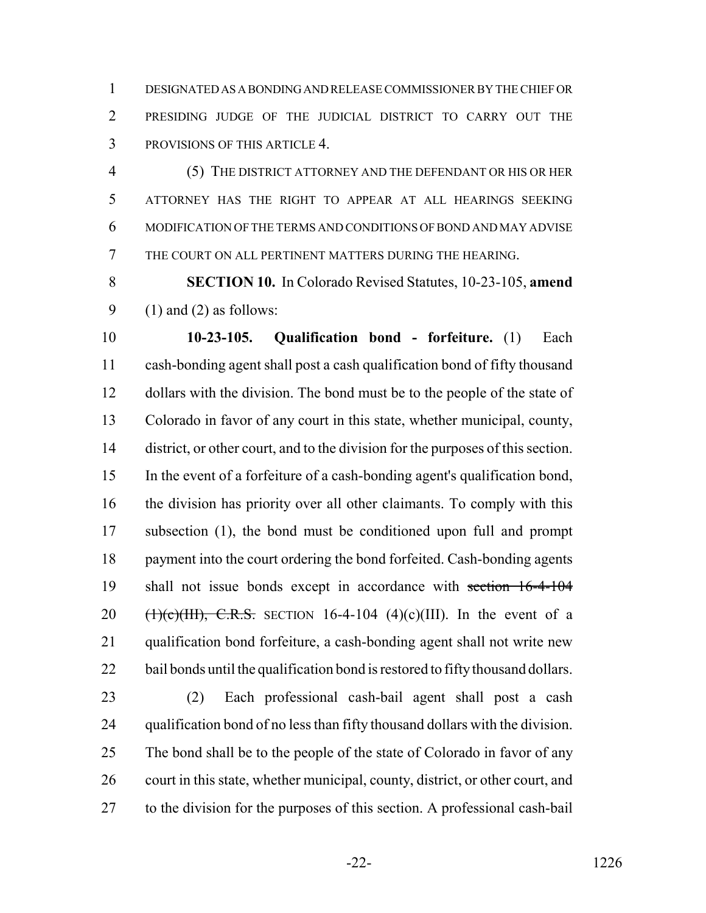DESIGNATED AS A BONDING AND RELEASE COMMISSIONER BY THE CHIEF OR PRESIDING JUDGE OF THE JUDICIAL DISTRICT TO CARRY OUT THE PROVISIONS OF THIS ARTICLE 4.

 (5) THE DISTRICT ATTORNEY AND THE DEFENDANT OR HIS OR HER ATTORNEY HAS THE RIGHT TO APPEAR AT ALL HEARINGS SEEKING MODIFICATION OF THE TERMS AND CONDITIONS OF BOND AND MAY ADVISE THE COURT ON ALL PERTINENT MATTERS DURING THE HEARING.

 **SECTION 10.** In Colorado Revised Statutes, 10-23-105, **amend** 9 (1) and (2) as follows:

 **10-23-105. Qualification bond - forfeiture.** (1) Each cash-bonding agent shall post a cash qualification bond of fifty thousand dollars with the division. The bond must be to the people of the state of Colorado in favor of any court in this state, whether municipal, county, district, or other court, and to the division for the purposes of this section. In the event of a forfeiture of a cash-bonding agent's qualification bond, the division has priority over all other claimants. To comply with this subsection (1), the bond must be conditioned upon full and prompt payment into the court ordering the bond forfeited. Cash-bonding agents shall not issue bonds except in accordance with section 16-4-104 20 (1)(c)(III), C.R.S. SECTION 16-4-104 (4)(c)(III). In the event of a qualification bond forfeiture, a cash-bonding agent shall not write new 22 bail bonds until the qualification bond is restored to fifty thousand dollars.

 (2) Each professional cash-bail agent shall post a cash qualification bond of no less than fifty thousand dollars with the division. The bond shall be to the people of the state of Colorado in favor of any court in this state, whether municipal, county, district, or other court, and to the division for the purposes of this section. A professional cash-bail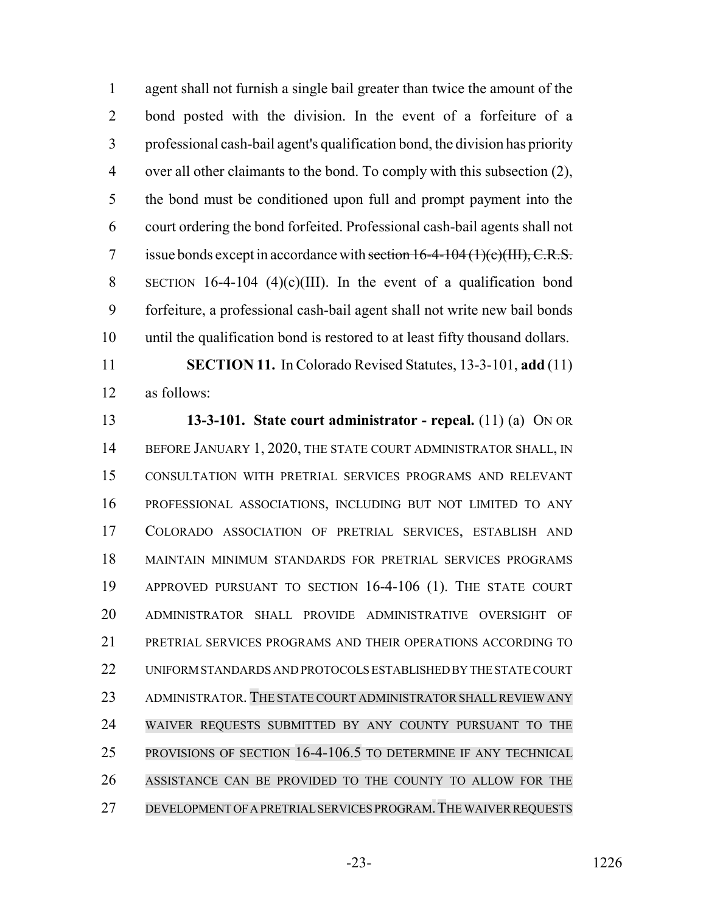agent shall not furnish a single bail greater than twice the amount of the bond posted with the division. In the event of a forfeiture of a professional cash-bail agent's qualification bond, the division has priority over all other claimants to the bond. To comply with this subsection (2), the bond must be conditioned upon full and prompt payment into the court ordering the bond forfeited. Professional cash-bail agents shall not 7 issue bonds except in accordance with section  $16-4-104(1)(c)(III)$ , C.R.S. SECTION 16-4-104 (4)(c)(III). In the event of a qualification bond forfeiture, a professional cash-bail agent shall not write new bail bonds until the qualification bond is restored to at least fifty thousand dollars.

 **SECTION 11.** In Colorado Revised Statutes, 13-3-101, **add** (11) as follows:

 **13-3-101. State court administrator - repeal.** (11) (a) ON OR 14 BEFORE JANUARY 1, 2020, THE STATE COURT ADMINISTRATOR SHALL, IN CONSULTATION WITH PRETRIAL SERVICES PROGRAMS AND RELEVANT PROFESSIONAL ASSOCIATIONS, INCLUDING BUT NOT LIMITED TO ANY COLORADO ASSOCIATION OF PRETRIAL SERVICES, ESTABLISH AND MAINTAIN MINIMUM STANDARDS FOR PRETRIAL SERVICES PROGRAMS APPROVED PURSUANT TO SECTION 16-4-106 (1). THE STATE COURT ADMINISTRATOR SHALL PROVIDE ADMINISTRATIVE OVERSIGHT OF PRETRIAL SERVICES PROGRAMS AND THEIR OPERATIONS ACCORDING TO UNIFORM STANDARDS AND PROTOCOLS ESTABLISHED BY THE STATE COURT ADMINISTRATOR. THE STATE COURT ADMINISTRATOR SHALLREVIEW ANY WAIVER REQUESTS SUBMITTED BY ANY COUNTY PURSUANT TO THE PROVISIONS OF SECTION 16-4-106.5 TO DETERMINE IF ANY TECHNICAL ASSISTANCE CAN BE PROVIDED TO THE COUNTY TO ALLOW FOR THE DEVELOPMENT OF A PRETRIAL SERVICES PROGRAM.THE WAIVER REQUESTS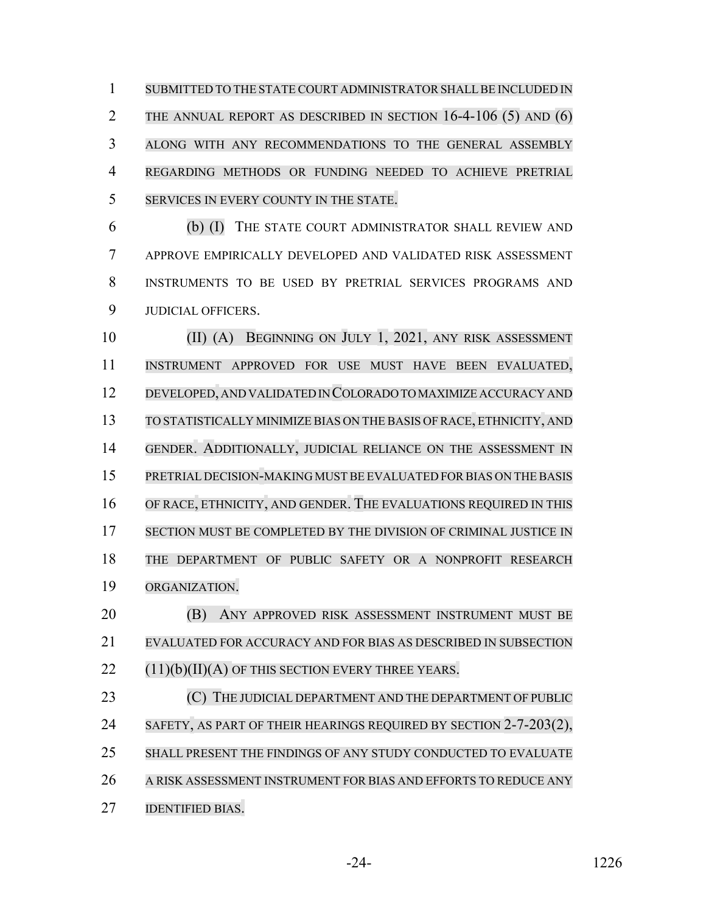1 SUBMITTED TO THE STATE COURT ADMINISTRATOR SHALL BE INCLUDED IN 2 THE ANNUAL REPORT AS DESCRIBED IN SECTION 16-4-106 (5) AND (6) ALONG WITH ANY RECOMMENDATIONS TO THE GENERAL ASSEMBLY REGARDING METHODS OR FUNDING NEEDED TO ACHIEVE PRETRIAL SERVICES IN EVERY COUNTY IN THE STATE.

 (b) (I) THE STATE COURT ADMINISTRATOR SHALL REVIEW AND APPROVE EMPIRICALLY DEVELOPED AND VALIDATED RISK ASSESSMENT INSTRUMENTS TO BE USED BY PRETRIAL SERVICES PROGRAMS AND JUDICIAL OFFICERS.

 (II) (A) BEGINNING ON JULY 1, 2021, ANY RISK ASSESSMENT INSTRUMENT APPROVED FOR USE MUST HAVE BEEN EVALUATED, DEVELOPED, AND VALIDATED IN COLORADO TO MAXIMIZE ACCURACY AND TO STATISTICALLY MINIMIZE BIAS ON THE BASIS OFRACE, ETHNICITY, AND GENDER. ADDITIONALLY, JUDICIAL RELIANCE ON THE ASSESSMENT IN PRETRIAL DECISION-MAKING MUST BE EVALUATED FOR BIAS ON THE BASIS OF RACE, ETHNICITY, AND GENDER. THE EVALUATIONS REQUIRED IN THIS SECTION MUST BE COMPLETED BY THE DIVISION OF CRIMINAL JUSTICE IN THE DEPARTMENT OF PUBLIC SAFETY OR A NONPROFIT RESEARCH ORGANIZATION. (B) ANY APPROVED RISK ASSESSMENT INSTRUMENT MUST BE EVALUATED FOR ACCURACY AND FOR BIAS AS DESCRIBED IN SUBSECTION (11)(b)(II)(A) OF THIS SECTION EVERY THREE YEARS. **COUPS** (C) THE JUDICIAL DEPARTMENT AND THE DEPARTMENT OF PUBLIC 24 SAFETY, AS PART OF THEIR HEARINGS REQUIRED BY SECTION 2-7-203(2), SHALL PRESENT THE FINDINGS OF ANY STUDY CONDUCTED TO EVALUATE

A RISK ASSESSMENT INSTRUMENT FOR BIAS AND EFFORTS TO REDUCE ANY

IDENTIFIED BIAS.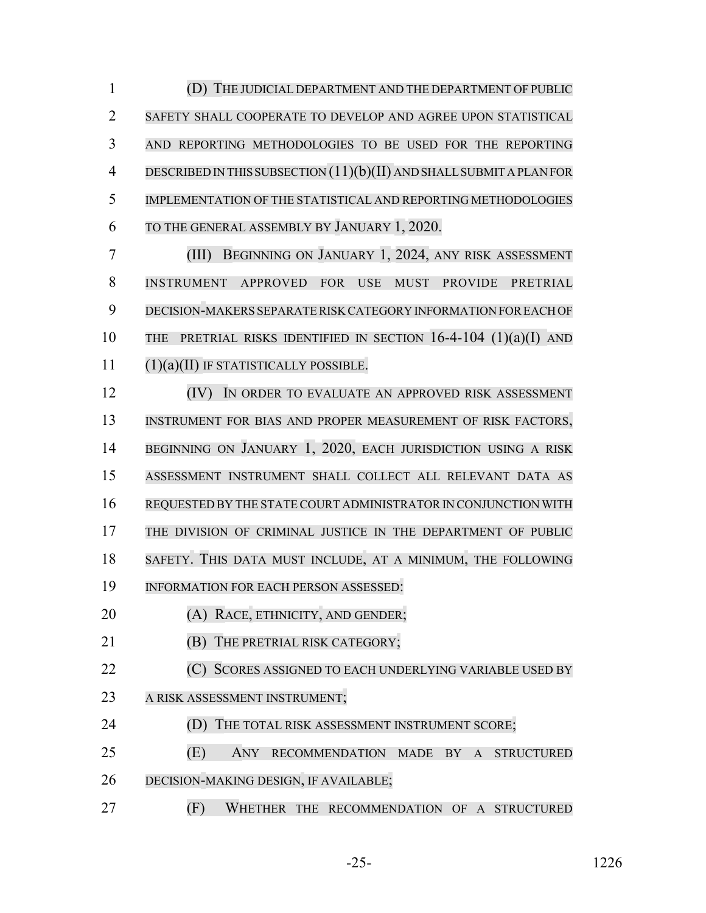(D) THE JUDICIAL DEPARTMENT AND THE DEPARTMENT OF PUBLIC SAFETY SHALL COOPERATE TO DEVELOP AND AGREE UPON STATISTICAL AND REPORTING METHODOLOGIES TO BE USED FOR THE REPORTING DESCRIBEDIN THIS SUBSECTION (11)(b)(II) ANDSHALLSUBMIT APLANFOR IMPLEMENTATION OF THE STATISTICAL AND REPORTING METHODOLOGIES TO THE GENERAL ASSEMBLY BY JANUARY 1, 2020.

 (III) BEGINNING ON JANUARY 1, 2024, ANY RISK ASSESSMENT INSTRUMENT APPROVED FOR USE MUST PROVIDE PRETRIAL DECISION-MAKERS SEPARATERISK CATEGORY INFORMATION FOR EACH OF 10 THE PRETRIAL RISKS IDENTIFIED IN SECTION  $16-4-104$   $(1)(a)(I)$  and (1)(a)(II) IF STATISTICALLY POSSIBLE.

 (IV) IN ORDER TO EVALUATE AN APPROVED RISK ASSESSMENT INSTRUMENT FOR BIAS AND PROPER MEASUREMENT OF RISK FACTORS, BEGINNING ON JANUARY 1, 2020, EACH JURISDICTION USING A RISK ASSESSMENT INSTRUMENT SHALL COLLECT ALL RELEVANT DATA AS 16 REQUESTED BY THE STATE COURT ADMINISTRATOR IN CONJUNCTION WITH THE DIVISION OF CRIMINAL JUSTICE IN THE DEPARTMENT OF PUBLIC SAFETY. THIS DATA MUST INCLUDE, AT A MINIMUM, THE FOLLOWING INFORMATION FOR EACH PERSON ASSESSED: **(A) RACE, ETHNICITY, AND GENDER; (B) THE PRETRIAL RISK CATEGORY; (C) SCORES ASSIGNED TO EACH UNDERLYING VARIABLE USED BY** 23 A RISK ASSESSMENT INSTRUMENT;

**(D)** THE TOTAL RISK ASSESSMENT INSTRUMENT SCORE;

 (E) ANY RECOMMENDATION MADE BY A STRUCTURED DECISION-MAKING DESIGN, IF AVAILABLE;

(F) WHETHER THE RECOMMENDATION OF A STRUCTURED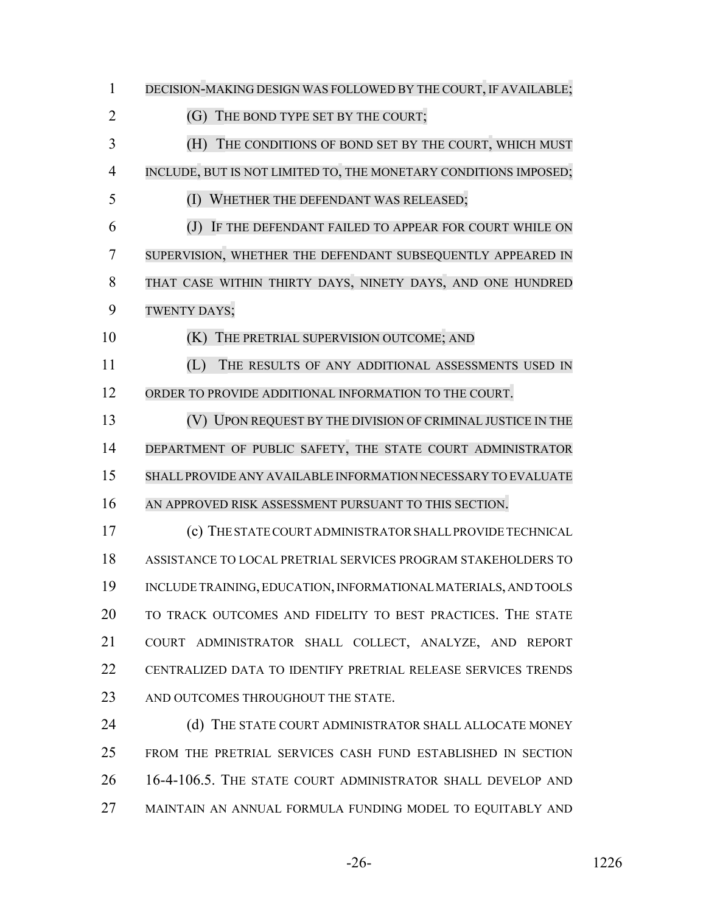DECISION-MAKING DESIGN WAS FOLLOWED BY THE COURT, IF AVAILABLE; 2 (G) THE BOND TYPE SET BY THE COURT; (H) THE CONDITIONS OF BOND SET BY THE COURT, WHICH MUST INCLUDE, BUT IS NOT LIMITED TO, THE MONETARY CONDITIONS IMPOSED; (I) WHETHER THE DEFENDANT WAS RELEASED; (J) IF THE DEFENDANT FAILED TO APPEAR FOR COURT WHILE ON SUPERVISION, WHETHER THE DEFENDANT SUBSEQUENTLY APPEARED IN THAT CASE WITHIN THIRTY DAYS, NINETY DAYS, AND ONE HUNDRED TWENTY DAYS; **(K)** THE PRETRIAL SUPERVISION OUTCOME; AND (L) THE RESULTS OF ANY ADDITIONAL ASSESSMENTS USED IN ORDER TO PROVIDE ADDITIONAL INFORMATION TO THE COURT. (V) UPON REQUEST BY THE DIVISION OF CRIMINAL JUSTICE IN THE 14 DEPARTMENT OF PUBLIC SAFETY, THE STATE COURT ADMINISTRATOR SHALLPROVIDE ANY AVAILABLE INFORMATION NECESSARY TO EVALUATE AN APPROVED RISK ASSESSMENT PURSUANT TO THIS SECTION. (c) THE STATE COURT ADMINISTRATOR SHALL PROVIDE TECHNICAL ASSISTANCE TO LOCAL PRETRIAL SERVICES PROGRAM STAKEHOLDERS TO INCLUDE TRAINING, EDUCATION, INFORMATIONAL MATERIALS, AND TOOLS TO TRACK OUTCOMES AND FIDELITY TO BEST PRACTICES. THE STATE COURT ADMINISTRATOR SHALL COLLECT, ANALYZE, AND REPORT CENTRALIZED DATA TO IDENTIFY PRETRIAL RELEASE SERVICES TRENDS 23 AND OUTCOMES THROUGHOUT THE STATE. 24 (d) THE STATE COURT ADMINISTRATOR SHALL ALLOCATE MONEY FROM THE PRETRIAL SERVICES CASH FUND ESTABLISHED IN SECTION 16-4-106.5. THE STATE COURT ADMINISTRATOR SHALL DEVELOP AND MAINTAIN AN ANNUAL FORMULA FUNDING MODEL TO EQUITABLY AND

-26- 1226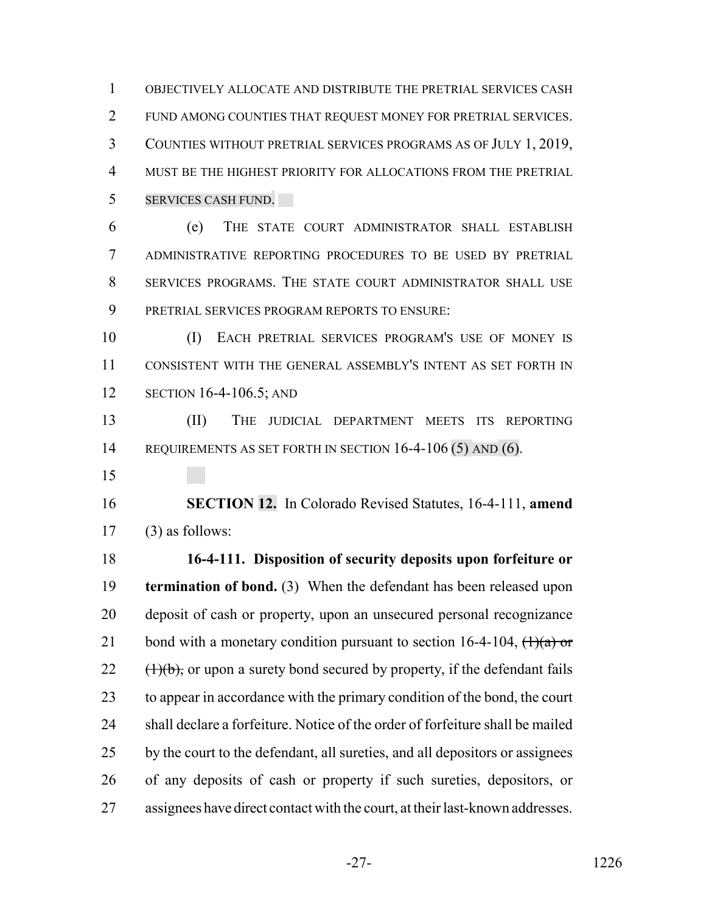OBJECTIVELY ALLOCATE AND DISTRIBUTE THE PRETRIAL SERVICES CASH FUND AMONG COUNTIES THAT REQUEST MONEY FOR PRETRIAL SERVICES. COUNTIES WITHOUT PRETRIAL SERVICES PROGRAMS AS OF JULY 1, 2019, MUST BE THE HIGHEST PRIORITY FOR ALLOCATIONS FROM THE PRETRIAL SERVICES CASH FUND.

 (e) THE STATE COURT ADMINISTRATOR SHALL ESTABLISH ADMINISTRATIVE REPORTING PROCEDURES TO BE USED BY PRETRIAL SERVICES PROGRAMS. THE STATE COURT ADMINISTRATOR SHALL USE PRETRIAL SERVICES PROGRAM REPORTS TO ENSURE:

 (I) EACH PRETRIAL SERVICES PROGRAM'S USE OF MONEY IS CONSISTENT WITH THE GENERAL ASSEMBLY'S INTENT AS SET FORTH IN SECTION 16-4-106.5; AND

 (II) THE JUDICIAL DEPARTMENT MEETS ITS REPORTING 14 REQUIREMENTS AS SET FORTH IN SECTION 16-4-106 (5) AND (6).

 **SECTION 12.** In Colorado Revised Statutes, 16-4-111, **amend** (3) as follows:

 **16-4-111. Disposition of security deposits upon forfeiture or termination of bond.** (3) When the defendant has been released upon deposit of cash or property, upon an unsecured personal recognizance 21 bond with a monetary condition pursuant to section 16-4-104,  $\left(\frac{1}{a}\right)$  or  $22 \left(1\right)(b)$ , or upon a surety bond secured by property, if the defendant fails to appear in accordance with the primary condition of the bond, the court shall declare a forfeiture. Notice of the order of forfeiture shall be mailed by the court to the defendant, all sureties, and all depositors or assignees of any deposits of cash or property if such sureties, depositors, or assignees have direct contact with the court, at their last-known addresses.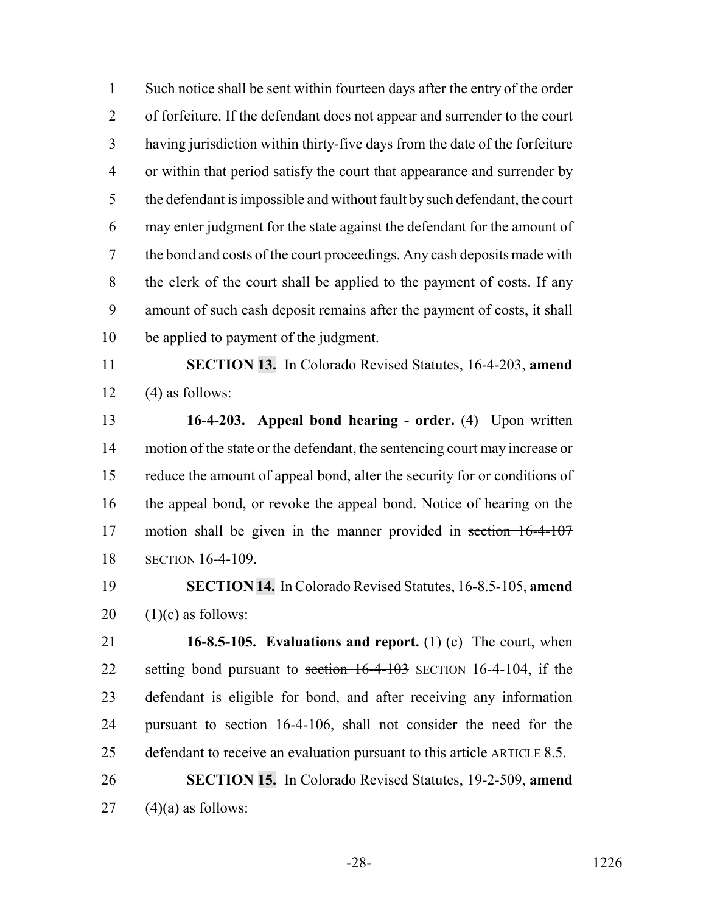Such notice shall be sent within fourteen days after the entry of the order of forfeiture. If the defendant does not appear and surrender to the court having jurisdiction within thirty-five days from the date of the forfeiture or within that period satisfy the court that appearance and surrender by the defendant is impossible and without fault by such defendant, the court may enter judgment for the state against the defendant for the amount of the bond and costs of the court proceedings. Any cash deposits made with the clerk of the court shall be applied to the payment of costs. If any amount of such cash deposit remains after the payment of costs, it shall be applied to payment of the judgment.

 **SECTION 13.** In Colorado Revised Statutes, 16-4-203, **amend** 12  $(4)$  as follows:

 **16-4-203. Appeal bond hearing - order.** (4) Upon written motion of the state or the defendant, the sentencing court may increase or reduce the amount of appeal bond, alter the security for or conditions of the appeal bond, or revoke the appeal bond. Notice of hearing on the motion shall be given in the manner provided in section 16-4-107 SECTION 16-4-109.

 **SECTION 14.** In Colorado Revised Statutes, 16-8.5-105, **amend** (1)(c) as follows:

 **16-8.5-105. Evaluations and report.** (1) (c) The court, when 22 setting bond pursuant to section 16-4-103 SECTION 16-4-104, if the defendant is eligible for bond, and after receiving any information pursuant to section 16-4-106, shall not consider the need for the 25 defendant to receive an evaluation pursuant to this article ARTICLE 8.5.

 **SECTION 15.** In Colorado Revised Statutes, 19-2-509, **amend** (4)(a) as follows: